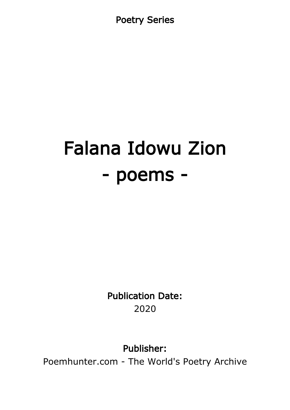Poetry Series

# Falana Idowu Zion - poems -

Publication Date: 2020

Publisher:

Poemhunter.com - The World's Poetry Archive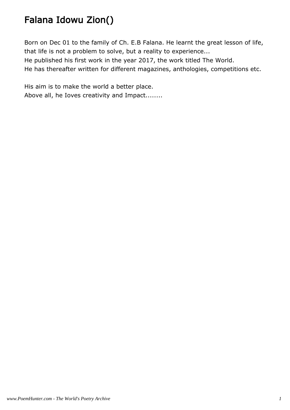# Falana Idowu Zion()

Born on Dec 01 to the family of Ch. E.B Falana. He learnt the great lesson of life, that life is not a problem to solve, but a reality to experience...

He published his first work in the year 2017, the work titled The World.

He has thereafter written for different magazines, anthologies, competitions etc.

His aim is to make the world a better place. Above all, he Ioves creativity and Impact........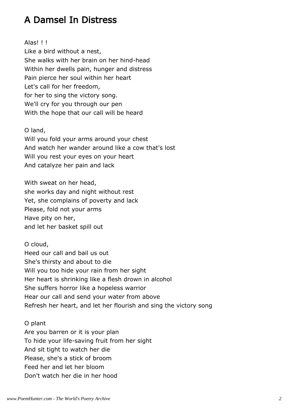# A Damsel In Distress

Alas! ! !

Like a bird without a nest, She walks with her brain on her hind-head Within her dwells pain, hunger and distress Pain pierce her soul within her heart Let's call for her freedom, for her to sing the victory song. We'll cry for you through our pen With the hope that our call will be heard

O land,

Will you fold your arms around your chest And watch her wander around like a cow that's lost Will you rest your eyes on your heart And catalyze her pain and lack

With sweat on her head, she works day and night without rest Yet, she complains of poverty and lack Please, fold not your arms Have pity on her, and let her basket spill out

O cloud,

Heed our call and bail us out She's thirsty and about to die Will you too hide your rain from her sight Her heart is shrinking like a flesh drown in alcohol She suffers horror like a hopeless warrior Hear our call and send your water from above Refresh her heart, and let her flourish and sing the victory song

O plant

Are you barren or it is your plan To hide your life-saving fruit from her sight And sit tight to watch her die Please, she's a stick of broom Feed her and let her bloom Don't watch her die in her hood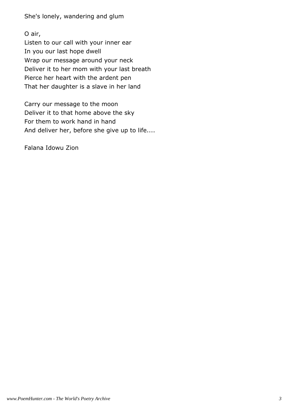She's lonely, wandering and glum

O air, Listen to our call with your inner ear In you our last hope dwell Wrap our message around your neck Deliver it to her mom with your last breath Pierce her heart with the ardent pen That her daughter is a slave in her land

Carry our message to the moon Deliver it to that home above the sky For them to work hand in hand And deliver her, before she give up to life....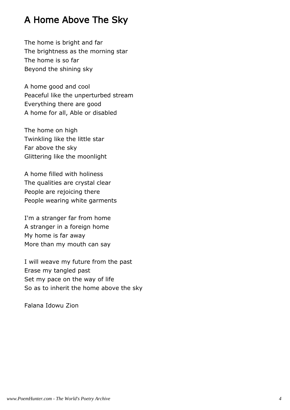# A Home Above The Sky

The home is bright and far The brightness as the morning star The home is so far Beyond the shining sky

A home good and cool Peaceful like the unperturbed stream Everything there are good A home for all, Able or disabled

The home on high Twinkling like the little star Far above the sky Glittering like the moonlight

A home filled with holiness The qualities are crystal clear People are rejoicing there People wearing white garments

I'm a stranger far from home A stranger in a foreign home My home is far away More than my mouth can say

I will weave my future from the past Erase my tangled past Set my pace on the way of life So as to inherit the home above the sky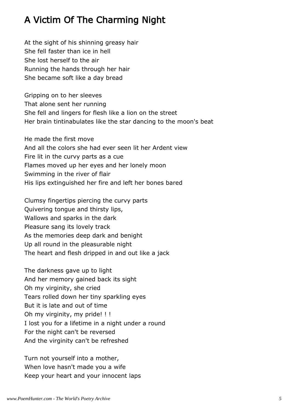# A Victim Of The Charming Night

At the sight of his shinning greasy hair She fell faster than ice in hell She lost herself to the air Running the hands through her hair She became soft like a day bread

Gripping on to her sleeves That alone sent her running She fell and lingers for flesh like a lion on the street Her brain tintinabulates like the star dancing to the moon's beat

He made the first move And all the colors she had ever seen lit her Ardent view Fire lit in the curvy parts as a cue Flames moved up her eyes and her lonely moon Swimming in the river of flair His lips extinguished her fire and left her bones bared

Clumsy fingertips piercing the curvy parts Quivering tongue and thirsty lips, Wallows and sparks in the dark Pleasure sang its lovely track As the memories deep dark and benight Up all round in the pleasurable night The heart and flesh dripped in and out like a jack

The darkness gave up to light And her memory gained back its sight Oh my virginity, she cried Tears rolled down her tiny sparkling eyes But it is late and out of time Oh my virginity, my pride! !! I lost you for a lifetime in a night under a round For the night can't be reversed And the virginity can't be refreshed

Turn not yourself into a mother, When love hasn't made you a wife Keep your heart and your innocent laps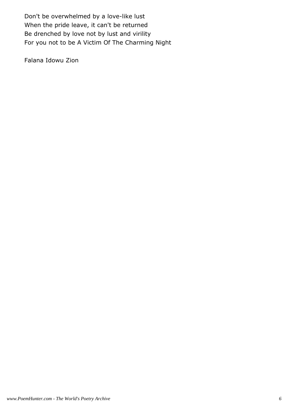Don't be overwhelmed by a love-like lust When the pride leave, it can't be returned Be drenched by love not by lust and virility For you not to be A Victim Of The Charming Night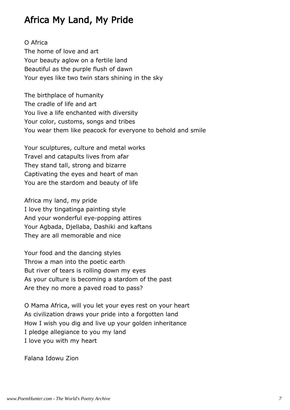### Africa My Land, My Pride

O Africa The home of love and art Your beauty aglow on a fertile land Beautiful as the purple flush of dawn Your eyes like two twin stars shining in the sky

The birthplace of humanity The cradle of life and art You live a life enchanted with diversity Your color, customs, songs and tribes You wear them like peacock for everyone to behold and smile

Your sculptures, culture and metal works Travel and catapults lives from afar They stand tall, strong and bizarre Captivating the eyes and heart of man You are the stardom and beauty of life

Africa my land, my pride I love thy tingatinga painting style And your wonderful eye-popping attires Your Agbada, Djellaba, Dashiki and kaftans They are all memorable and nice

Your food and the dancing styles Throw a man into the poetic earth But river of tears is rolling down my eyes As your culture is becoming a stardom of the past Are they no more a paved road to pass?

O Mama Africa, will you let your eyes rest on your heart As civilization draws your pride into a forgotten land How I wish you dig and live up your golden inheritance I pledge allegiance to you my land I love you with my heart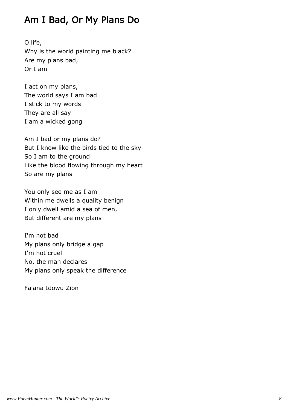# Am I Bad, Or My Plans Do

O life, Why is the world painting me black? Are my plans bad, Or I am

I act on my plans, The world says I am bad I stick to my words They are all say I am a wicked gong

Am I bad or my plans do? But I know like the birds tied to the sky So I am to the ground Like the blood flowing through my heart So are my plans

You only see me as I am Within me dwells a quality benign I only dwell amid a sea of men, But different are my plans

I'm not bad My plans only bridge a gap I'm not cruel No, the man declares My plans only speak the difference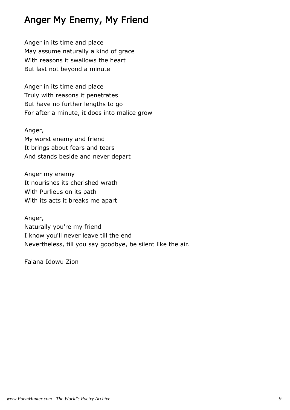# Anger My Enemy, My Friend

Anger in its time and place May assume naturally a kind of grace With reasons it swallows the heart But last not beyond a minute

Anger in its time and place Truly with reasons it penetrates But have no further lengths to go For after a minute, it does into malice grow

Anger, My worst enemy and friend It brings about fears and tears And stands beside and never depart

Anger my enemy It nourishes its cherished wrath With Purlieus on its path With its acts it breaks me apart

Anger, Naturally you're my friend I know you'll never leave till the end Nevertheless, till you say goodbye, be silent like the air.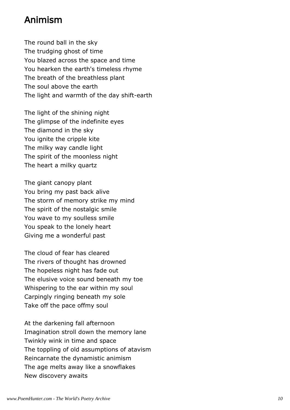#### Animism

The round ball in the sky The trudging ghost of time You blazed across the space and time You hearken the earth's timeless rhyme The breath of the breathless plant The soul above the earth The light and warmth of the day shift-earth

The light of the shining night The glimpse of the indefinite eyes The diamond in the sky You ignite the cripple kite The milky way candle light The spirit of the moonless night The heart a milky quartz

The giant canopy plant You bring my past back alive The storm of memory strike my mind The spirit of the nostalgic smile You wave to my soulless smile You speak to the lonely heart Giving me a wonderful past

The cloud of fear has cleared The rivers of thought has drowned The hopeless night has fade out The elusive voice sound beneath my toe Whispering to the ear within my soul Carpingly ringing beneath my sole Take off the pace offmy soul

At the darkening fall afternoon Imagination stroll down the memory lane Twinkly wink in time and space The toppling of old assumptions of atavism Reincarnate the dynamistic animism The age melts away like a snowflakes New discovery awaits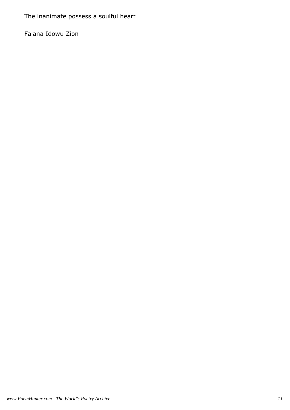The inanimate possess a soulful heart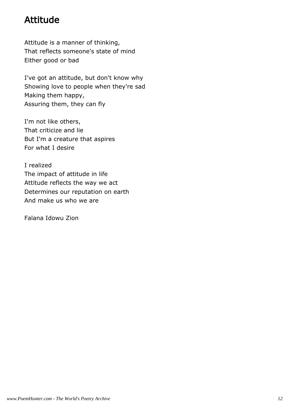# Attitude

Attitude is a manner of thinking, That reflects someone's state of mind Either good or bad

I've got an attitude, but don't know why Showing love to people when they're sad Making them happy, Assuring them, they can fly

I'm not like others, That criticize and lie But I'm a creature that aspires For what I desire

I realized The impact of attitude in life Attitude reflects the way we act Determines our reputation on earth And make us who we are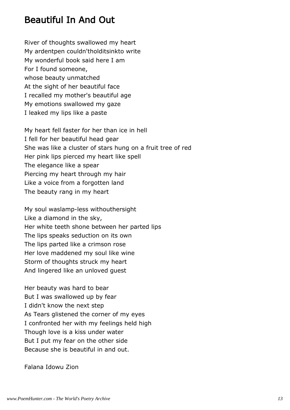#### Beautiful In And Out

River of thoughts swallowed my heart My ardentpen couldn'tholditsinkto write My wonderful book said here I am For I found someone, whose beauty unmatched At the sight of her beautiful face I recalled my mother's beautiful age My emotions swallowed my gaze I leaked my lips like a paste

My heart fell faster for her than ice in hell I fell for her beautiful head gear She was like a cluster of stars hung on a fruit tree of red Her pink lips pierced my heart like spell The elegance like a spear Piercing my heart through my hair Like a voice from a forgotten land The beauty rang in my heart

My soul waslamp-less withouthersight Like a diamond in the sky, Her white teeth shone between her parted lips The lips speaks seduction on its own The lips parted like a crimson rose Her love maddened my soul like wine Storm of thoughts struck my heart And lingered like an unloved guest

Her beauty was hard to bear But I was swallowed up by fear I didn't know the next step As Tears glistened the corner of my eyes I confronted her with my feelings held high Though love is a kiss under water But I put my fear on the other side Because she is beautiful in and out.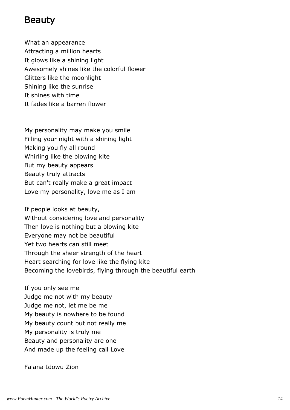#### Beauty

What an appearance Attracting a million hearts It glows like a shining light Awesomely shines like the colorful flower Glitters like the moonlight Shining like the sunrise It shines with time It fades like a barren flower

My personality may make you smile Filling your night with a shining light Making you fly all round Whirling like the blowing kite But my beauty appears Beauty truly attracts But can't really make a great impact Love my personality, love me as I am

If people looks at beauty, Without considering love and personality Then love is nothing but a blowing kite Everyone may not be beautiful Yet two hearts can still meet Through the sheer strength of the heart Heart searching for love like the flying kite Becoming the lovebirds, flying through the beautiful earth

If you only see me Judge me not with my beauty Judge me not, let me be me My beauty is nowhere to be found My beauty count but not really me My personality is truly me Beauty and personality are one And made up the feeling call Love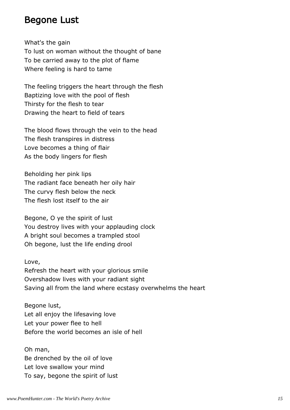#### Begone Lust

What's the gain To lust on woman without the thought of bane To be carried away to the plot of flame Where feeling is hard to tame

The feeling triggers the heart through the flesh Baptizing love with the pool of flesh Thirsty for the flesh to tear Drawing the heart to field of tears

The blood flows through the vein to the head The flesh transpires in distress Love becomes a thing of flair As the body lingers for flesh

Beholding her pink lips The radiant face beneath her oily hair The curvy flesh below the neck The flesh lost itself to the air

Begone, O ye the spirit of lust You destroy lives with your applauding clock A bright soul becomes a trampled stool Oh begone, lust the life ending drool

Love,

Refresh the heart with your glorious smile Overshadow lives with your radiant sight Saving all from the land where ecstasy overwhelms the heart

Begone lust, Let all enjoy the lifesaving love Let your power flee to hell Before the world becomes an isle of hell

Oh man, Be drenched by the oil of love Let love swallow your mind To say, begone the spirit of lust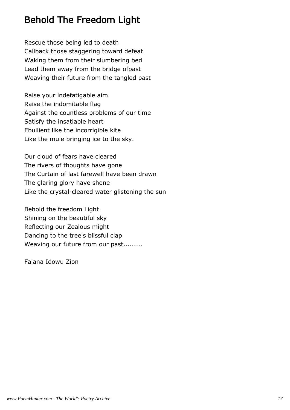# Behold The Freedom Light

Rescue those being led to death Callback those staggering toward defeat Waking them from their slumbering bed Lead them away from the bridge ofpast Weaving their future from the tangled past

Raise your indefatigable aim Raise the indomitable flag Against the countless problems of our time Satisfy the insatiable heart Ebullient like the incorrigible kite Like the mule bringing ice to the sky.

Our cloud of fears have cleared The rivers of thoughts have gone The Curtain of last farewell have been drawn The glaring glory have shone Like the crystal-cleared water glistening the sun

Behold the freedom Light Shining on the beautiful sky Reflecting our Zealous might Dancing to the tree's blissful clap Weaving our future from our past.........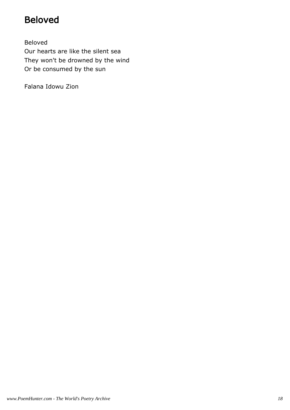# Beloved

Beloved Our hearts are like the silent sea They won't be drowned by the wind Or be consumed by the sun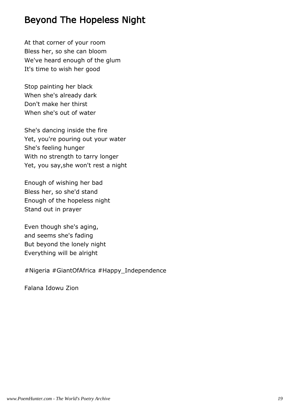# Beyond The Hopeless Night

At that corner of your room Bless her, so she can bloom We've heard enough of the glum It's time to wish her good

Stop painting her black When she's already dark Don't make her thirst When she's out of water

She's dancing inside the fire Yet, you're pouring out your water She's feeling hunger With no strength to tarry longer Yet, you say,she won't rest a night

Enough of wishing her bad Bless her, so she'd stand Enough of the hopeless night Stand out in prayer

Even though she's aging, and seems she's fading But beyond the lonely night Everything will be alright

#Nigeria #GiantOfAfrica #Happy\_Independence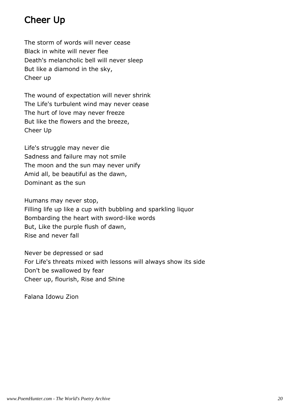# Cheer Up

The storm of words will never cease Black in white will never flee Death's melancholic bell will never sleep But like a diamond in the sky, Cheer up

The wound of expectation will never shrink The Life's turbulent wind may never cease The hurt of love may never freeze But like the flowers and the breeze, Cheer Up

Life's struggle may never die Sadness and failure may not smile The moon and the sun may never unify Amid all, be beautiful as the dawn, Dominant as the sun

Humans may never stop, Filling life up like a cup with bubbling and sparkling liquor Bombarding the heart with sword-like words But, Like the purple flush of dawn, Rise and never fall

Never be depressed or sad For Life's threats mixed with lessons will always show its side Don't be swallowed by fear Cheer up, flourish, Rise and Shine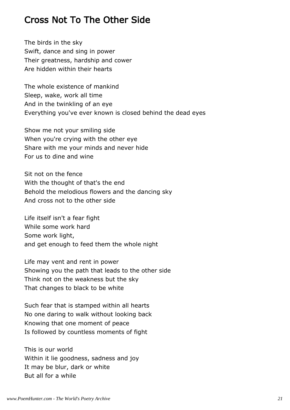#### Cross Not To The Other Side

The birds in the sky Swift, dance and sing in power Their greatness, hardship and cower Are hidden within their hearts

The whole existence of mankind Sleep, wake, work all time And in the twinkling of an eye Everything you've ever known is closed behind the dead eyes

Show me not your smiling side When you're crying with the other eye Share with me your minds and never hide For us to dine and wine

Sit not on the fence With the thought of that's the end Behold the melodious flowers and the dancing sky And cross not to the other side

Life itself isn't a fear fight While some work hard Some work light, and get enough to feed them the whole night

Life may vent and rent in power Showing you the path that leads to the other side Think not on the weakness but the sky That changes to black to be white

Such fear that is stamped within all hearts No one daring to walk without looking back Knowing that one moment of peace Is followed by countless moments of fight

This is our world Within it lie goodness, sadness and joy It may be blur, dark or white But all for a while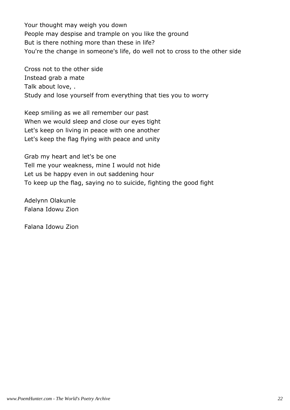Your thought may weigh you down People may despise and trample on you like the ground But is there nothing more than these in life? You're the change in someone's life, do well not to cross to the other side

Cross not to the other side Instead grab a mate Talk about love, . Study and lose yourself from everything that ties you to worry

Keep smiling as we all remember our past When we would sleep and close our eyes tight Let's keep on living in peace with one another Let's keep the flag flying with peace and unity

Grab my heart and let's be one Tell me your weakness, mine I would not hide Let us be happy even in out saddening hour To keep up the flag, saying no to suicide, fighting the good fight

Adelynn Olakunle Falana Idowu Zion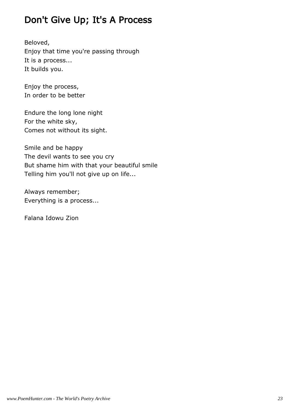# Don't Give Up; It's A Process

Beloved, Enjoy that time you're passing through It is a process... It builds you.

Enjoy the process, In order to be better

Endure the long lone night For the white sky, Comes not without its sight.

Smile and be happy The devil wants to see you cry But shame him with that your beautiful smile Telling him you'll not give up on life...

Always remember; Everything is a process...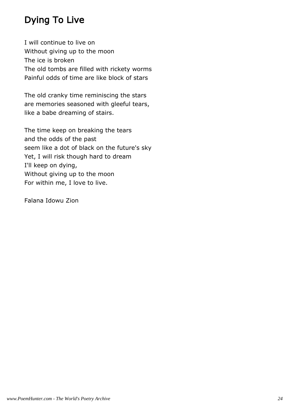# Dying To Live

I will continue to live on Without giving up to the moon The ice is broken The old tombs are filled with rickety worms Painful odds of time are like block of stars

The old cranky time reminiscing the stars are memories seasoned with gleeful tears, like a babe dreaming of stairs.

The time keep on breaking the tears and the odds of the past seem like a dot of black on the future's sky Yet, I will risk though hard to dream I'll keep on dying, Without giving up to the moon For within me, I love to live.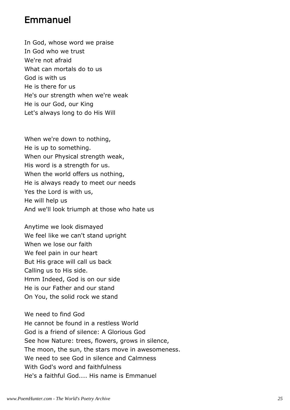#### Emmanuel

In God, whose word we praise In God who we trust We're not afraid What can mortals do to us God is with us He is there for us He's our strength when we're weak He is our God, our King Let's always long to do His Will

When we're down to nothing, He is up to something. When our Physical strength weak, His word is a strength for us. When the world offers us nothing, He is always ready to meet our needs Yes the Lord is with us, He will help us And we'll look triumph at those who hate us

Anytime we look dismayed We feel like we can't stand upright When we lose our faith We feel pain in our heart But His grace will call us back Calling us to His side. Hmm Indeed, God is on our side He is our Father and our stand On You, the solid rock we stand

We need to find God He cannot be found in a restless World God is a friend of silence: A Glorious God See how Nature: trees, flowers, grows in silence, The moon, the sun, the stars move in awesomeness. We need to see God in silence and Calmness With God's word and faithfulness He's a faithful God.... His name is Emmanuel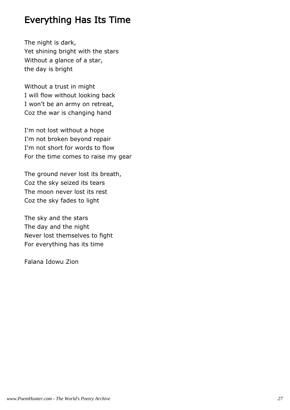#### Everything Has Its Time

The night is dark, Yet shining bright with the stars Without a glance of a star, the day is bright

Without a trust in might I will flow without looking back I won't be an army on retreat, Coz the war is changing hand

I'm not lost without a hope I'm not broken beyond repair I'm not short for words to flow For the time comes to raise my gear

The ground never lost its breath, Coz the sky seized its tears The moon never lost its rest Coz the sky fades to light

The sky and the stars The day and the night Never lost themselves to fight For everything has its time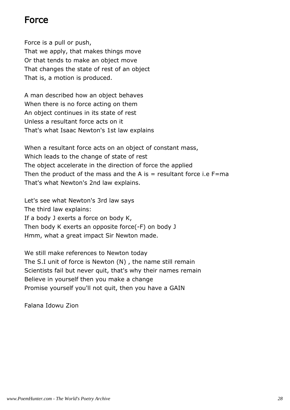#### Force

Force is a pull or push, That we apply, that makes things move Or that tends to make an object move That changes the state of rest of an object That is, a motion is produced.

A man described how an object behaves When there is no force acting on them An object continues in its state of rest Unless a resultant force acts on it That's what Isaac Newton's 1st law explains

When a resultant force acts on an object of constant mass, Which leads to the change of state of rest The object accelerate in the direction of force the applied Then the product of the mass and the A is  $=$  resultant force i.e F=ma That's what Newton's 2nd law explains.

Let's see what Newton's 3rd law says The third law explains: If a body J exerts a force on body K, Then body K exerts an opposite force(-F) on body J Hmm, what a great impact Sir Newton made.

We still make references to Newton today The S.I unit of force is Newton (N) , the name still remain Scientists fail but never quit, that's why their names remain Believe in yourself then you make a change Promise yourself you'll not quit, then you have a GAIN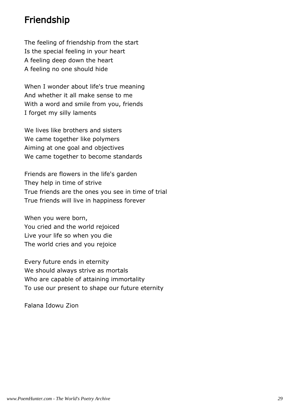#### Friendship

The feeling of friendship from the start Is the special feeling in your heart A feeling deep down the heart A feeling no one should hide

When I wonder about life's true meaning And whether it all make sense to me With a word and smile from you, friends I forget my silly laments

We lives like brothers and sisters We came together like polymers Aiming at one goal and objectives We came together to become standards

Friends are flowers in the life's garden They help in time of strive True friends are the ones you see in time of trial True friends will live in happiness forever

When you were born, You cried and the world rejoiced Live your life so when you die The world cries and you rejoice

Every future ends in eternity We should always strive as mortals Who are capable of attaining immortality To use our present to shape our future eternity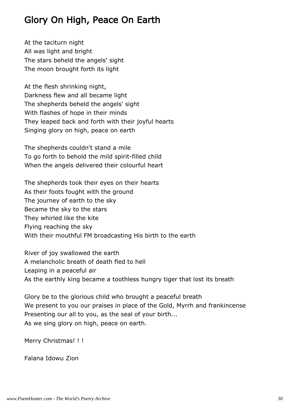# Glory On High, Peace On Earth

At the taciturn night All was light and bright The stars beheld the angels' sight The moon brought forth its light

At the flesh shrinking night, Darkness flew and all became light The shepherds beheld the angels' sight With flashes of hope in their minds They leaped back and forth with their joyful hearts Singing glory on high, peace on earth

The shepherds couldn't stand a mile To go forth to behold the mild spirit-filled child When the angels delivered their colourful heart

The shepherds took their eyes on their hearts As their foots fought with the ground The journey of earth to the sky Became the sky to the stars They whirled like the kite Flying reaching the sky With their mouthful FM broadcasting His birth to the earth

River of joy swallowed the earth A melancholic breath of death fled to hell Leaping in a peaceful air As the earthly king became a toothless hungry tiger that lost its breath

Glory be to the glorious child who brought a peaceful breath We present to you our praises in place of the Gold, Myrrh and frankincense Presenting our all to you, as the seal of your birth... As we sing glory on high, peace on earth.

Merry Christmas! ! !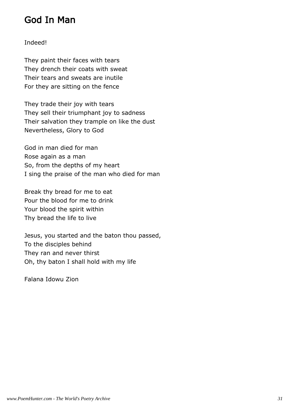#### God In Man

#### Indeed!

They paint their faces with tears They drench their coats with sweat Their tears and sweats are inutile For they are sitting on the fence

They trade their joy with tears They sell their triumphant joy to sadness Their salvation they trample on like the dust Nevertheless, Glory to God

God in man died for man Rose again as a man So, from the depths of my heart I sing the praise of the man who died for man

Break thy bread for me to eat Pour the blood for me to drink Your blood the spirit within Thy bread the life to live

Jesus, you started and the baton thou passed, To the disciples behind They ran and never thirst Oh, thy baton I shall hold with my life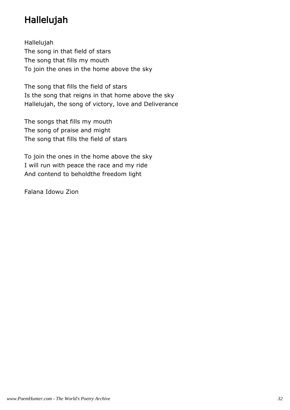# Hallelujah

Hallelujah The song in that field of stars The song that fills my mouth To join the ones in the home above the sky

The song that fills the field of stars Is the song that reigns in that home above the sky Hallelujah, the song of victory, love and Deliverance

The songs that fills my mouth The song of praise and might The song that fills the field of stars

To join the ones in the home above the sky I will run with peace the race and my ride And contend to beholdthe freedom light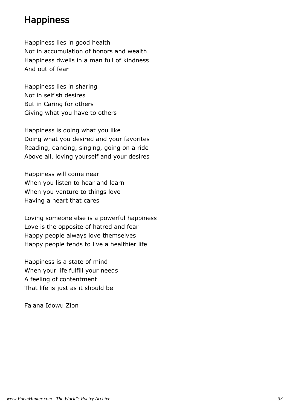#### **Happiness**

Happiness lies in good health Not in accumulation of honors and wealth Happiness dwells in a man full of kindness And out of fear

Happiness lies in sharing Not in selfish desires But in Caring for others Giving what you have to others

Happiness is doing what you like Doing what you desired and your favorites Reading, dancing, singing, going on a ride Above all, loving yourself and your desires

Happiness will come near When you listen to hear and learn When you venture to things love Having a heart that cares

Loving someone else is a powerful happiness Love is the opposite of hatred and fear Happy people always love themselves Happy people tends to live a healthier life

Happiness is a state of mind When your life fulfill your needs A feeling of contentment That life is just as it should be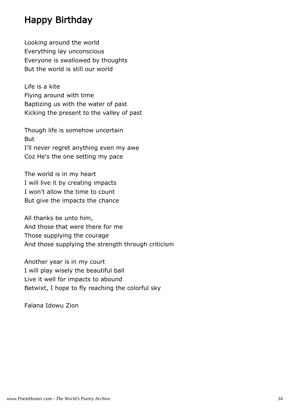#### Happy Birthday

Looking around the world Everything lay unconscious Everyone is swallowed by thoughts But the world is still our world

Life is a kite Flying around with time Baptizing us with the water of past Kicking the present to the valley of past

Though life is somehow uncertain But I'll never regret anything even my awe Coz He's the one setting my pace

The world is in my heart I will live it by creating impacts I won't allow the time to count But give the impacts the chance

All thanks be unto him, And those that were there for me Those supplying the courage And those supplying the strength through criticism

Another year is in my court I will play wisely the beautiful ball Live it well for impacts to abound Betwixt, I hope to fly reaching the colorful sky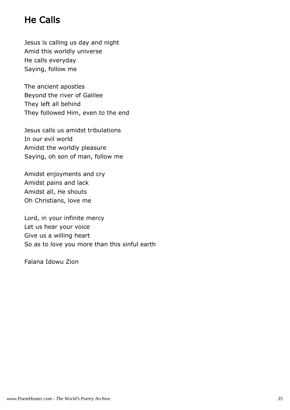# He Calls

Jesus is calling us day and night Amid this worldly universe He calls everyday Saying, follow me

The ancient apostles Beyond the river of Galilee They left all behind They followed Him, even to the end

Jesus calls us amidst tribulations In our evil world Amidst the worldly pleasure Saying, oh son of man, follow me

Amidst enjoyments and cry Amidst pains and lack Amidst all, He shouts Oh Christians, love me

Lord, in your infinite mercy Let us hear your voice Give us a willing heart So as to love you more than this sinful earth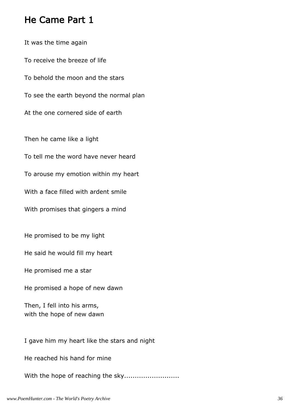### He Came Part 1

It was the time again To receive the breeze of life To behold the moon and the stars To see the earth beyond the normal plan At the one cornered side of earth Then he came like a light To tell me the word have never heard To arouse my emotion within my heart With a face filled with ardent smile With promises that gingers a mind He promised to be my light

He said he would fill my heart

He promised me a star

He promised a hope of new dawn

Then, I fell into his arms, with the hope of new dawn

I gave him my heart like the stars and night

He reached his hand for mine

With the hope of reaching the sky..........................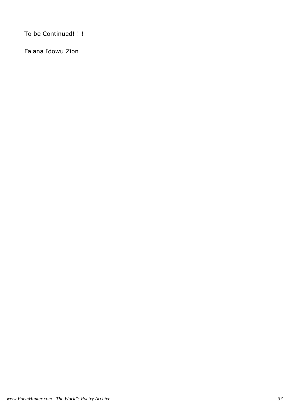To be Continued! ! !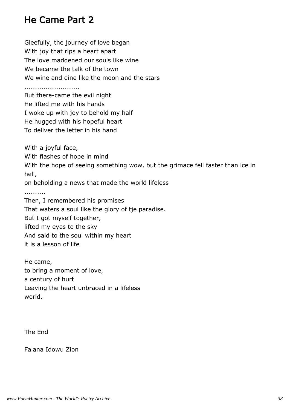# He Came Part 2

Gleefully, the journey of love began With joy that rips a heart apart The love maddened our souls like wine We became the talk of the town We wine and dine like the moon and the stars

..........................

But there-came the evil night He lifted me with his hands I woke up with joy to behold my half He hugged with his hopeful heart To deliver the letter in his hand

With a joyful face,

With flashes of hope in mind

With the hope of seeing something wow, but the grimace fell faster than ice in hell,

on beholding a news that made the world lifeless

..........

Then, I remembered his promises That waters a soul like the glory of tje paradise. But I got myself together, lifted my eyes to the sky And said to the soul within my heart it is a lesson of life

He came, to bring a moment of love, a century of hurt Leaving the heart unbraced in a lifeless world.

The End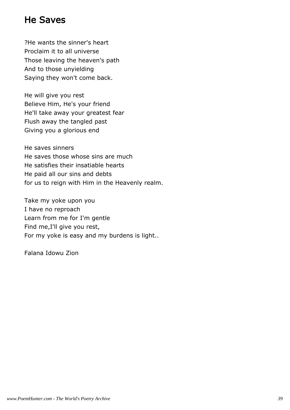# He Saves

?He wants the sinner's heart Proclaim it to all universe Those leaving the heaven's path And to those unyielding Saying they won't come back.

He will give you rest Believe Him, He's your friend He'll take away your greatest fear Flush away the tangled past Giving you a glorious end

He saves sinners He saves those whose sins are much He satisfies their insatiable hearts He paid all our sins and debts for us to reign with Him in the Heavenly realm.

Take my yoke upon you I have no reproach Learn from me for I'm gentle Find me,I'll give you rest, For my yoke is easy and my burdens is light..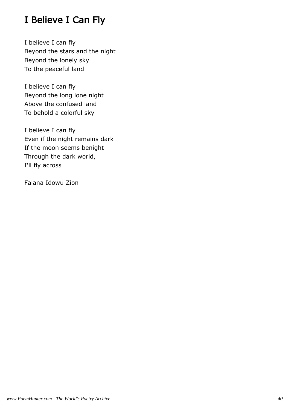# I Believe I Can Fly

I believe I can fly Beyond the stars and the night Beyond the lonely sky To the peaceful land

I believe I can fly Beyond the long lone night Above the confused land To behold a colorful sky

I believe I can fly Even if the night remains dark If the moon seems benight Through the dark world, I'll fly across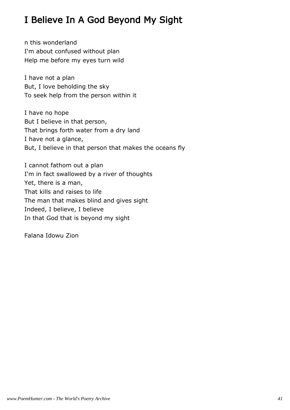# I Believe In A God Beyond My Sight

n this wonderland I'm about confused without plan Help me before my eyes turn wild

I have not a plan But, I love beholding the sky To seek help from the person within it

I have no hope But I believe in that person, That brings forth water from a dry land I have not a glance, But, I believe in that person that makes the oceans fly

I cannot fathom out a plan I'm in fact swallowed by a river of thoughts Yet, there is a man, That kills and raises to life The man that makes blind and gives sight Indeed, I believe, I believe In that God that is beyond my sight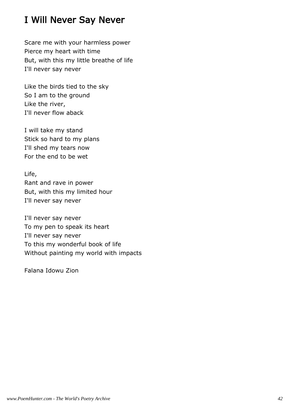# I Will Never Say Never

Scare me with your harmless power Pierce my heart with time But, with this my little breathe of life I'll never say never

Like the birds tied to the sky So I am to the ground Like the river, I'll never flow aback

I will take my stand Stick so hard to my plans I'll shed my tears now For the end to be wet

Life, Rant and rave in power But, with this my limited hour I'll never say never

I'll never say never To my pen to speak its heart I'll never say never To this my wonderful book of life Without painting my world with impacts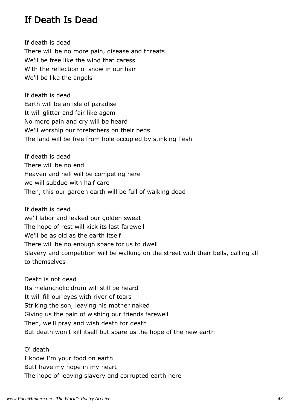### If Death Is Dead

If death is dead There will be no more pain, disease and threats We'll be free like the wind that caress With the reflection of snow in our hair We'll be like the angels

If death is dead Earth will be an isle of paradise It will glitter and fair like agem No more pain and cry will be heard We'll worship our forefathers on their beds The land will be free from hole occupied by stinking flesh

If death is dead There will be no end Heaven and hell will be competing here we will subdue with half care Then, this our garden earth will be full of walking dead

If death is dead we'll labor and leaked our golden sweat The hope of rest will kick its last farewell We'll be as old as the earth itself There will be no enough space for us to dwell Slavery and competition will be walking on the street with their bells, calling all to themselves

Death is not dead Its melancholic drum will still be heard It will fill our eyes with river of tears Striking the son, leaving his mother naked Giving us the pain of wishing our friends farewell Then, we'll pray and wish death for death But death won't kill itself but spare us the hope of the new earth

O' death I know I'm your food on earth ButI have my hope in my heart The hope of leaving slavery and corrupted earth here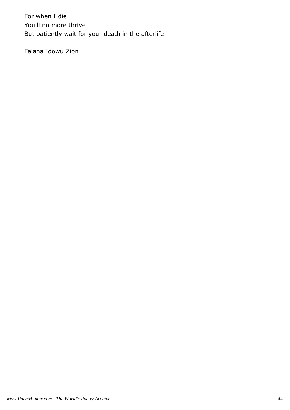For when I die You'll no more thrive But patiently wait for your death in the afterlife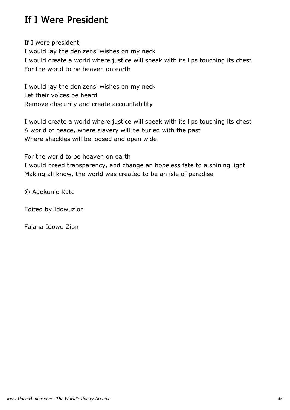# If I Were President

If I were president, I would lay the denizens' wishes on my neck I would create a world where justice will speak with its lips touching its chest For the world to be heaven on earth

I would lay the denizens' wishes on my neck Let their voices be heard Remove obscurity and create accountability

I would create a world where justice will speak with its lips touching its chest A world of peace, where slavery will be buried with the past Where shackles will be loosed and open wide

For the world to be heaven on earth

I would breed transparency, and change an hopeless fate to a shining light Making all know, the world was created to be an isle of paradise

© Adekunle Kate

Edited by Idowuzion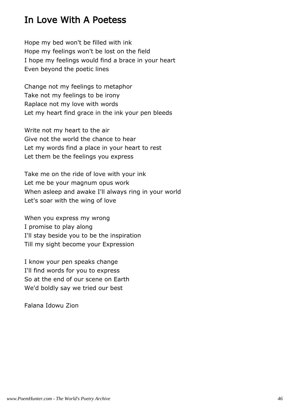### In Love With A Poetess

Hope my bed won't be filled with ink Hope my feelings won't be lost on the field I hope my feelings would find a brace in your heart Even beyond the poetic lines

Change not my feelings to metaphor Take not my feelings to be irony Raplace not my love with words Let my heart find grace in the ink your pen bleeds

Write not my heart to the air Give not the world the chance to hear Let my words find a place in your heart to rest Let them be the feelings you express

Take me on the ride of love with your ink Let me be your magnum opus work When asleep and awake I'll always ring in your world Let's soar with the wing of love

When you express my wrong I promise to play along I'll stay beside you to be the inspiration Till my sight become your Expression

I know your pen speaks change I'll find words for you to express So at the end of our scene on Earth We'd boldly say we tried our best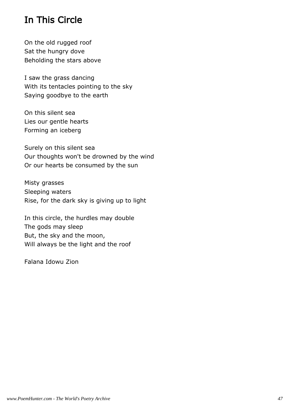# In This Circle

On the old rugged roof Sat the hungry dove Beholding the stars above

I saw the grass dancing With its tentacles pointing to the sky Saying goodbye to the earth

On this silent sea Lies our gentle hearts Forming an iceberg

Surely on this silent sea Our thoughts won't be drowned by the wind Or our hearts be consumed by the sun

Misty grasses Sleeping waters Rise, for the dark sky is giving up to light

In this circle, the hurdles may double The gods may sleep But, the sky and the moon, Will always be the light and the roof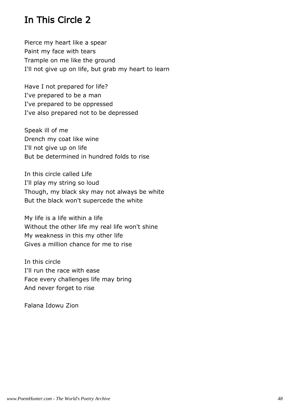# In This Circle 2

Pierce my heart like a spear Paint my face with tears Trample on me like the ground I'll not give up on life, but grab my heart to learn

Have I not prepared for life? I've prepared to be a man I've prepared to be oppressed I've also prepared not to be depressed

Speak ill of me Drench my coat like wine I'll not give up on life But be determined in hundred folds to rise

In this circle called Life I'll play my string so loud Though, my black sky may not always be white But the black won't supercede the white

My life is a life within a life Without the other life my real life won't shine My weakness in this my other life Gives a million chance for me to rise

In this circle I'll run the race with ease Face every challenges life may bring And never forget to rise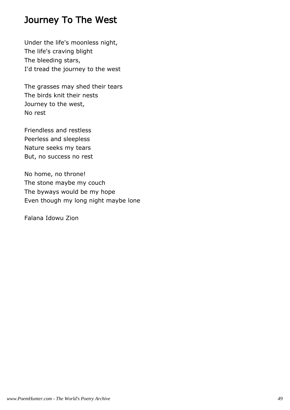### Journey To The West

Under the life's moonless night, The life's craving blight The bleeding stars, I'd tread the journey to the west

The grasses may shed their tears The birds knit their nests Journey to the west, No rest

Friendless and restless Peerless and sleepless Nature seeks my tears But, no success no rest

No home, no throne! The stone maybe my couch The byways would be my hope Even though my long night maybe lone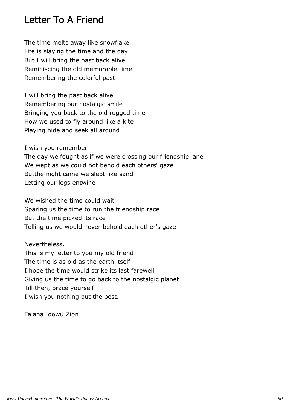### Letter To A Friend

The time melts away like snowflake Life is slaying the time and the day But I will bring the past back alive Reminiscing the old memorable time Remembering the colorful past

I will bring the past back alive Remembering our nostalgic smile Bringing you back to the old rugged time How we used to fly around like a kite Playing hide and seek all around

I wish you remember

The day we fought as if we were crossing our friendship lane We wept as we could not behold each others' gaze Butthe night came we slept like sand Letting our legs entwine

We wished the time could wait Sparing us the time to run the friendship race But the time picked its race Telling us we would never behold each other's gaze

Nevertheless, This is my letter to you my old friend The time is as old as the earth itself I hope the time would strike its last farewell Giving us the time to go back to the nostalgic planet Till then, brace yourself I wish you nothing but the best.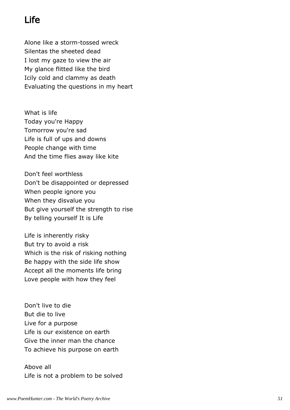# Life

Alone like a storm-tossed wreck Silentas the sheeted dead I lost my gaze to view the air My glance flitted like the bird Icily cold and clammy as death Evaluating the questions in my heart

What is life Today you're Happy Tomorrow you're sad Life is full of ups and downs People change with time And the time flies away like kite

Don't feel worthless Don't be disappointed or depressed When people ignore you When they disvalue you But give yourself the strength to rise By telling yourself It is Life

Life is inherently risky But try to avoid a risk Which is the risk of risking nothing Be happy with the side life show Accept all the moments life bring Love people with how they feel

Don't live to die But die to live Live for a purpose Life is our existence on earth Give the inner man the chance To achieve his purpose on earth

Above all Life is not a problem to be solved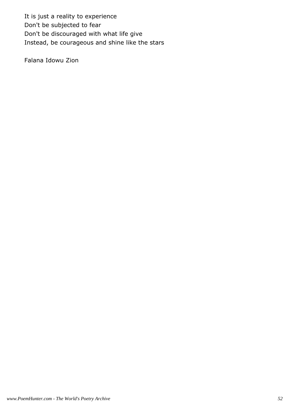It is just a reality to experience Don't be subjected to fear Don't be discouraged with what life give Instead, be courageous and shine like the stars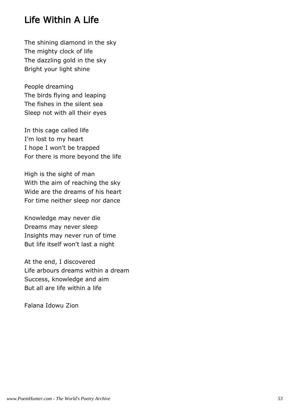# Life Within A Life

The shining diamond in the sky The mighty clock of life The dazzling gold in the sky Bright your light shine

People dreaming The birds flying and leaping The fishes in the silent sea Sleep not with all their eyes

In this cage called life I'm lost to my heart I hope I won't be trapped For there is more beyond the life

High is the sight of man With the aim of reaching the sky Wide are the dreams of his heart For time neither sleep nor dance

Knowledge may never die Dreams may never sleep Insights may never run of time But life itself won't last a night

At the end, I discovered Life arbours dreams within a dream Success, knowledge and aim But all are life within a life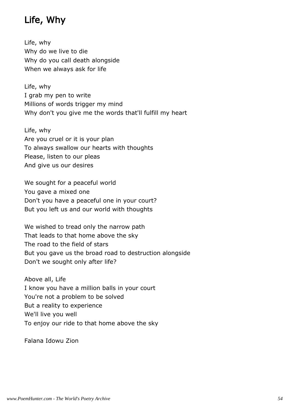# Life, Why

Life, why Why do we live to die Why do you call death alongside When we always ask for life

Life, why I grab my pen to write Millions of words trigger my mind Why don't you give me the words that'll fulfill my heart

Life, why Are you cruel or it is your plan To always swallow our hearts with thoughts Please, listen to our pleas And give us our desires

We sought for a peaceful world You gave a mixed one Don't you have a peaceful one in your court? But you left us and our world with thoughts

We wished to tread only the narrow path That leads to that home above the sky The road to the field of stars But you gave us the broad road to destruction alongside Don't we sought only after life?

Above all, Life I know you have a million balls in your court You're not a problem to be solved But a reality to experience We'll live you well To enjoy our ride to that home above the sky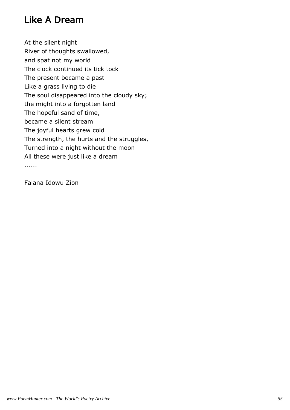# Like A Dream

At the silent night River of thoughts swallowed, and spat not my world The clock continued its tick tock The present became a past Like a grass living to die The soul disappeared into the cloudy sky; the might into a forgotten land The hopeful sand of time, became a silent stream The joyful hearts grew cold The strength, the hurts and the struggles, Turned into a night without the moon All these were just like a dream ......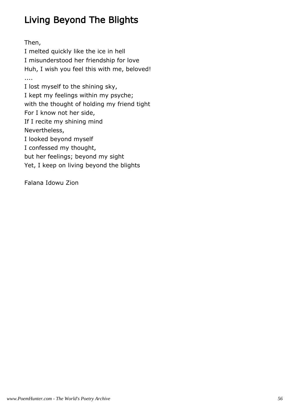# Living Beyond The Blights

Then,

I melted quickly like the ice in hell I misunderstood her friendship for love Huh, I wish you feel this with me, beloved! .... I lost myself to the shining sky, I kept my feelings within my psyche; with the thought of holding my friend tight For I know not her side, If I recite my shining mind Nevertheless, I looked beyond myself I confessed my thought, but her feelings; beyond my sight Yet, I keep on living beyond the blights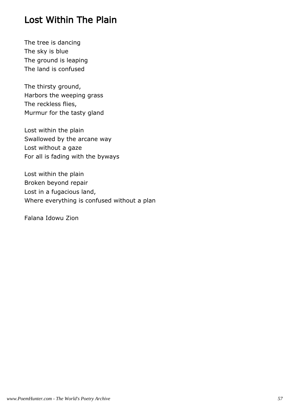# Lost Within The Plain

The tree is dancing The sky is blue The ground is leaping The land is confused

The thirsty ground, Harbors the weeping grass The reckless flies, Murmur for the tasty gland

Lost within the plain Swallowed by the arcane way Lost without a gaze For all is fading with the byways

Lost within the plain Broken beyond repair Lost in a fugacious land, Where everything is confused without a plan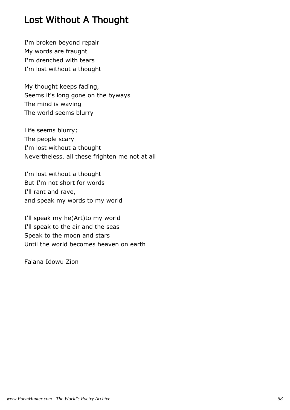# Lost Without A Thought

I'm broken beyond repair My words are fraught I'm drenched with tears I'm lost without a thought

My thought keeps fading, Seems it's long gone on the byways The mind is waving The world seems blurry

Life seems blurry; The people scary I'm lost without a thought Nevertheless, all these frighten me not at all

I'm lost without a thought But I'm not short for words I'll rant and rave, and speak my words to my world

I'll speak my he(Art)to my world I'll speak to the air and the seas Speak to the moon and stars Until the world becomes heaven on earth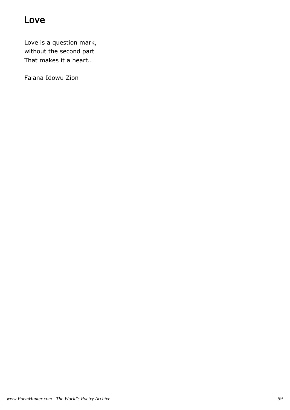# Love

Love is a question mark, without the second part That makes it a heart..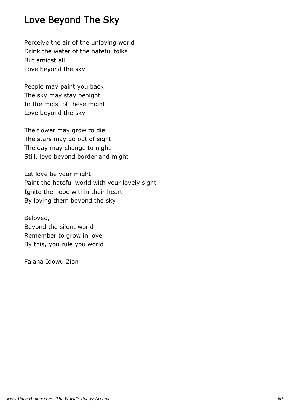# Love Beyond The Sky

Perceive the air of the unloving world Drink the water of the hateful folks But amidst all, Love beyond the sky

People may paint you back The sky may stay benight In the midst of these might Love beyond the sky

The flower may grow to die The stars may go out of sight The day may change to night Still, love beyond border and might

Let love be your might Paint the hateful world with your lovely sight Ignite the hope within their heart By loving them beyond the sky

Beloved, Beyond the silent world Remember to grow in love By this, you rule you world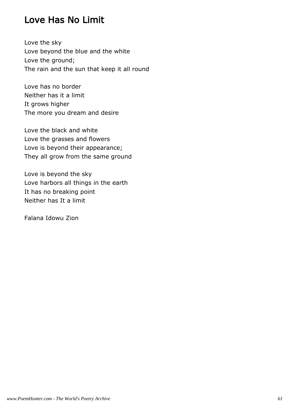# Love Has No Limit

Love the sky Love beyond the blue and the white Love the ground; The rain and the sun that keep it all round

Love has no border Neither has it a limit It grows higher The more you dream and desire

Love the black and white Love the grasses and flowers Love is beyond their appearance; They all grow from the same ground

Love is beyond the sky Love harbors all things in the earth It has no breaking point Neither has It a limit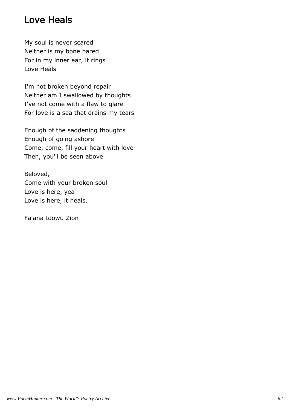# Love Heals

My soul is never scared Neither is my bone bared For in my inner ear, it rings Love Heals

I'm not broken beyond repair Neither am I swallowed by thoughts I've not come with a flaw to glare For love is a sea that drains my tears

Enough of the saddening thoughts Enough of going ashore Come, come, fill your heart with love Then, you'll be seen above

Beloved, Come with your broken soul Love is here, yea Love is here, it heals.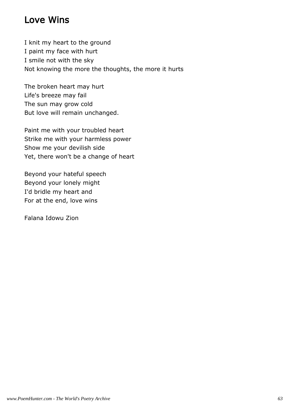# Love Wins

I knit my heart to the ground I paint my face with hurt I smile not with the sky Not knowing the more the thoughts, the more it hurts

The broken heart may hurt Life's breeze may fail The sun may grow cold But love will remain unchanged.

Paint me with your troubled heart Strike me with your harmless power Show me your devilish side Yet, there won't be a change of heart

Beyond your hateful speech Beyond your lonely might I'd bridle my heart and For at the end, love wins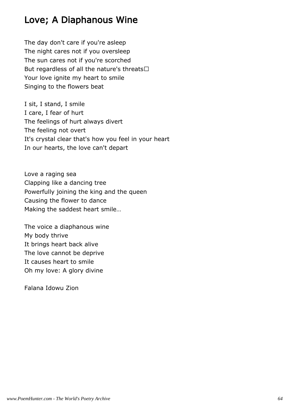# Love; A Diaphanous Wine

The day don't care if you're asleep The night cares not if you oversleep The sun cares not if you're scorched But regardless of all the nature's threats Your love ignite my heart to smile Singing to the flowers beat

I sit, I stand, I smile I care, I fear of hurt The feelings of hurt always divert The feeling not overt It's crystal clear that's how you feel in your heart In our hearts, the love can't depart

Love a raging sea Clapping like a dancing tree Powerfully joining the king and the queen Causing the flower to dance Making the saddest heart smile…

The voice a diaphanous wine My body thrive It brings heart back alive The love cannot be deprive It causes heart to smile Oh my love: A glory divine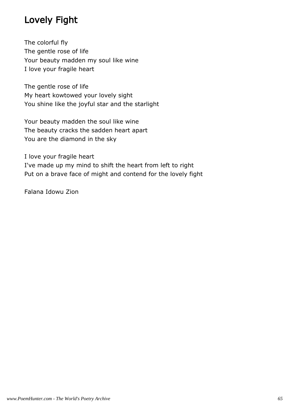# Lovely Fight

The colorful fly The gentle rose of life Your beauty madden my soul like wine I love your fragile heart

The gentle rose of life My heart kowtowed your lovely sight You shine like the joyful star and the starlight

Your beauty madden the soul like wine The beauty cracks the sadden heart apart You are the diamond in the sky

I love your fragile heart I've made up my mind to shift the heart from left to right Put on a brave face of might and contend for the lovely fight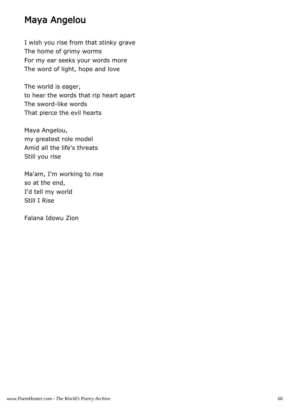### Maya Angelou

I wish you rise from that stinky grave The home of grimy worms For my ear seeks your words more The word of light, hope and love

The world is eager, to hear the words that rip heart apart The sword-like words That pierce the evil hearts

Maya Angelou, my greatest role model Amid all the life's threats Still you rise

Ma'am, I'm working to rise so at the end, I'd tell my world Still I Rise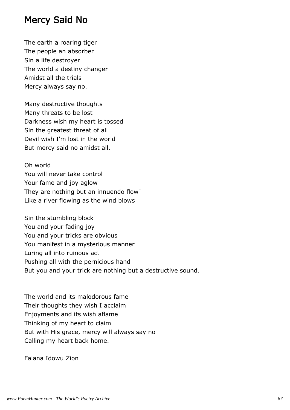### Mercy Said No

The earth a roaring tiger The people an absorber Sin a life destroyer The world a destiny changer Amidst all the trials Mercy always say no.

Many destructive thoughts Many threats to be lost Darkness wish my heart is tossed Sin the greatest threat of all Devil wish I'm lost in the world But mercy said no amidst all.

Oh world You will never take control Your fame and joy aglow They are nothing but an innuendo flow` Like a river flowing as the wind blows

Sin the stumbling block You and your fading joy You and your tricks are obvious You manifest in a mysterious manner Luring all into ruinous act Pushing all with the pernicious hand But you and your trick are nothing but a destructive sound.

The world and its malodorous fame Their thoughts they wish I acclaim Enjoyments and its wish aflame Thinking of my heart to claim But with His grace, mercy will always say no Calling my heart back home.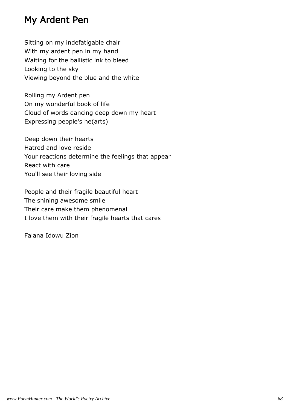### My Ardent Pen

Sitting on my indefatigable chair With my ardent pen in my hand Waiting for the ballistic ink to bleed Looking to the sky Viewing beyond the blue and the white

Rolling my Ardent pen On my wonderful book of life Cloud of words dancing deep down my heart Expressing people's he(arts)

Deep down their hearts Hatred and love reside Your reactions determine the feelings that appear React with care You'll see their loving side

People and their fragile beautiful heart The shining awesome smile Their care make them phenomenal I love them with their fragile hearts that cares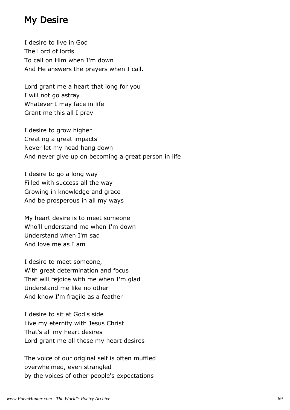### My Desire

I desire to live in God The Lord of lords To call on Him when I'm down And He answers the prayers when I call.

Lord grant me a heart that long for you I will not go astray Whatever I may face in life Grant me this all I pray

I desire to grow higher Creating a great impacts Never let my head hang down And never give up on becoming a great person in life

I desire to go a long way Filled with success all the way Growing in knowledge and grace And be prosperous in all my ways

My heart desire is to meet someone Who'll understand me when I'm down Understand when I'm sad And love me as I am

I desire to meet someone, With great determination and focus That will rejoice with me when I'm glad Understand me like no other And know I'm fragile as a feather

I desire to sit at God's side Live my eternity with Jesus Christ That's all my heart desires Lord grant me all these my heart desires

The voice of our original self is often muffled overwhelmed, even strangled by the voices of other people's expectations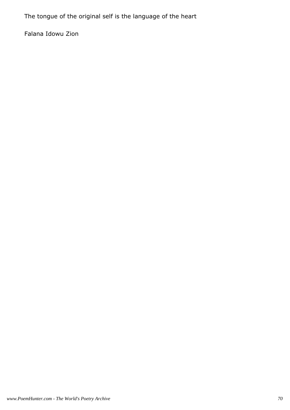The tongue of the original self is the language of the heart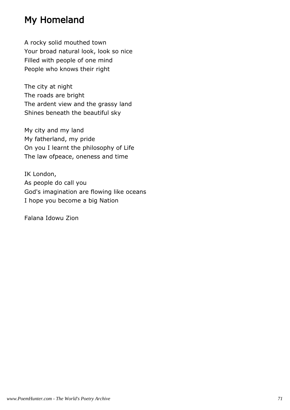# My Homeland

A rocky solid mouthed town Your broad natural look, look so nice Filled with people of one mind People who knows their right

The city at night The roads are bright The ardent view and the grassy land Shines beneath the beautiful sky

My city and my land My fatherland, my pride On you I learnt the philosophy of Life The law ofpeace, oneness and time

IK London, As people do call you God's imagination are flowing like oceans I hope you become a big Nation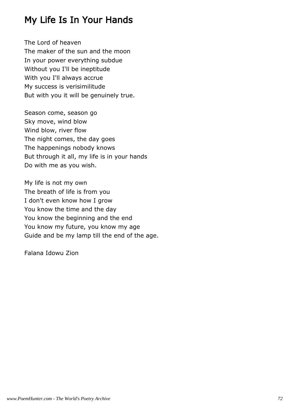## My Life Is In Your Hands

The Lord of heaven The maker of the sun and the moon In your power everything subdue Without you I'll be ineptitude With you I'll always accrue My success is verisimilitude But with you it will be genuinely true.

Season come, season go Sky move, wind blow Wind blow, river flow The night comes, the day goes The happenings nobody knows But through it all, my life is in your hands Do with me as you wish.

My life is not my own The breath of life is from you I don't even know how I grow You know the time and the day You know the beginning and the end You know my future, you know my age Guide and be my lamp till the end of the age.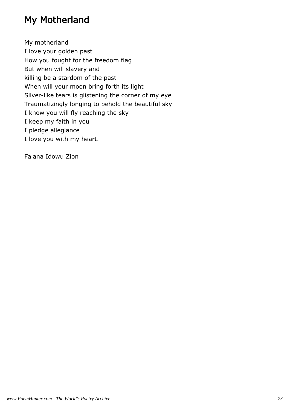## My Motherland

My motherland I love your golden past How you fought for the freedom flag But when will slavery and killing be a stardom of the past When will your moon bring forth its light Silver-like tears is glistening the corner of my eye Traumatizingly longing to behold the beautiful sky I know you will fly reaching the sky I keep my faith in you I pledge allegiance I love you with my heart.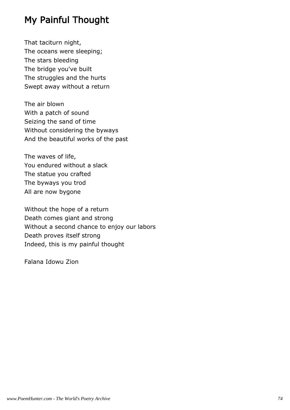# My Painful Thought

That taciturn night, The oceans were sleeping; The stars bleeding The bridge you've built The struggles and the hurts Swept away without a return

The air blown With a patch of sound Seizing the sand of time Without considering the byways And the beautiful works of the past

The waves of life, You endured without a slack The statue you crafted The byways you trod All are now bygone

Without the hope of a return Death comes giant and strong Without a second chance to enjoy our labors Death proves itself strong Indeed, this is my painful thought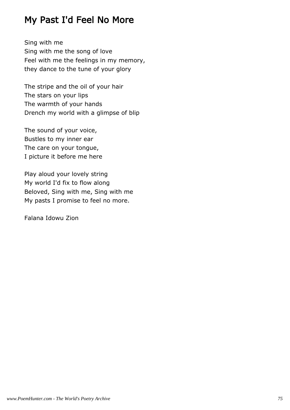## My Past I'd Feel No More

Sing with me Sing with me the song of love Feel with me the feelings in my memory, they dance to the tune of your glory

The stripe and the oil of your hair The stars on your lips The warmth of your hands Drench my world with a glimpse of blip

The sound of your voice, Bustles to my inner ear The care on your tongue, I picture it before me here

Play aloud your lovely string My world I'd fix to flow along Beloved, Sing with me, Sing with me My pasts I promise to feel no more.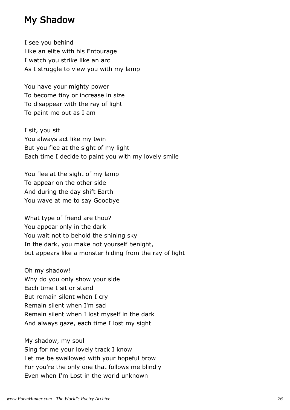#### My Shadow

I see you behind Like an elite with his Entourage I watch you strike like an arc As I struggle to view you with my lamp

You have your mighty power To become tiny or increase in size To disappear with the ray of light To paint me out as I am

I sit, you sit You always act like my twin But you flee at the sight of my light Each time I decide to paint you with my lovely smile

You flee at the sight of my lamp To appear on the other side And during the day shift Earth You wave at me to say Goodbye

What type of friend are thou? You appear only in the dark You wait not to behold the shining sky In the dark, you make not yourself benight, but appears like a monster hiding from the ray of light

Oh my shadow! Why do you only show your side Each time I sit or stand But remain silent when I cry Remain silent when I'm sad Remain silent when I lost myself in the dark And always gaze, each time I lost my sight

My shadow, my soul Sing for me your lovely track I know Let me be swallowed with your hopeful brow For you're the only one that follows me blindly Even when I'm Lost in the world unknown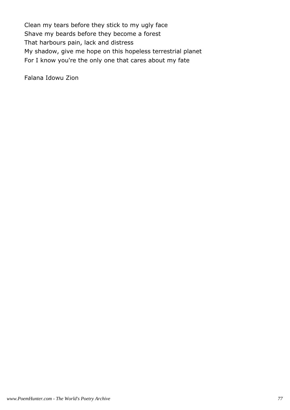Clean my tears before they stick to my ugly face Shave my beards before they become a forest That harbours pain, lack and distress My shadow, give me hope on this hopeless terrestrial planet For I know you're the only one that cares about my fate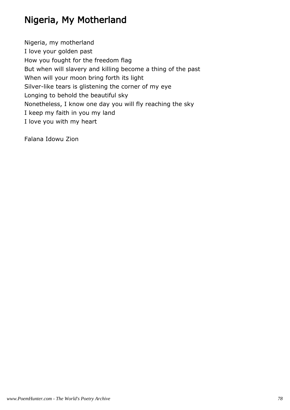# Nigeria, My Motherland

Nigeria, my motherland I love your golden past How you fought for the freedom flag But when will slavery and killing become a thing of the past When will your moon bring forth its light Silver-like tears is glistening the corner of my eye Longing to behold the beautiful sky Nonetheless, I know one day you will fly reaching the sky I keep my faith in you my land I love you with my heart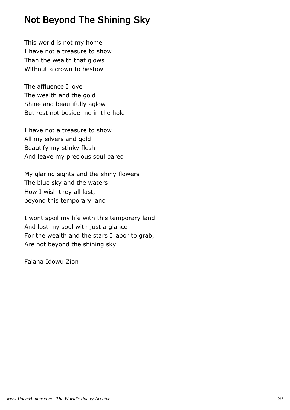## Not Beyond The Shining Sky

This world is not my home I have not a treasure to show Than the wealth that glows Without a crown to bestow

The affluence I love The wealth and the gold Shine and beautifully aglow But rest not beside me in the hole

I have not a treasure to show All my silvers and gold Beautify my stinky flesh And leave my precious soul bared

My glaring sights and the shiny flowers The blue sky and the waters How I wish they all last, beyond this temporary land

I wont spoil my life with this temporary land And lost my soul with just a glance For the wealth and the stars I labor to grab, Are not beyond the shining sky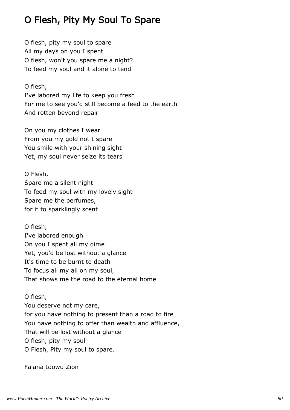# O Flesh, Pity My Soul To Spare

O flesh, pity my soul to spare All my days on you I spent O flesh, won't you spare me a night? To feed my soul and it alone to tend

O flesh,

I've labored my life to keep you fresh For me to see you'd still become a feed to the earth And rotten beyond repair

On you my clothes I wear From you my gold not I spare You smile with your shining sight Yet, my soul never seize its tears

O Flesh, Spare me a silent night To feed my soul with my lovely sight Spare me the perfumes, for it to sparklingly scent

O flesh, I've labored enough On you I spent all my dime Yet, you'd be lost without a glance It's time to be burnt to death To focus all my all on my soul, That shows me the road to the eternal home

O flesh, You deserve not my care, for you have nothing to present than a road to fire You have nothing to offer than wealth and affluence, That will be lost without a glance O flesh, pity my soul O Flesh, Pity my soul to spare.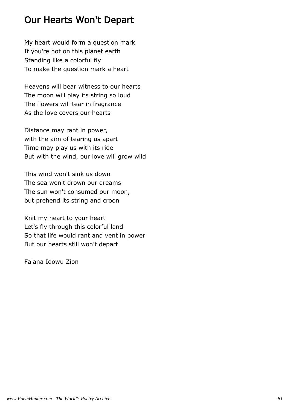## Our Hearts Won't Depart

My heart would form a question mark If you're not on this planet earth Standing like a colorful fly To make the question mark a heart

Heavens will bear witness to our hearts The moon will play its string so loud The flowers will tear in fragrance As the love covers our hearts

Distance may rant in power, with the aim of tearing us apart Time may play us with its ride But with the wind, our love will grow wild

This wind won't sink us down The sea won't drown our dreams The sun won't consumed our moon, but prehend its string and croon

Knit my heart to your heart Let's fly through this colorful land So that life would rant and vent in power But our hearts still won't depart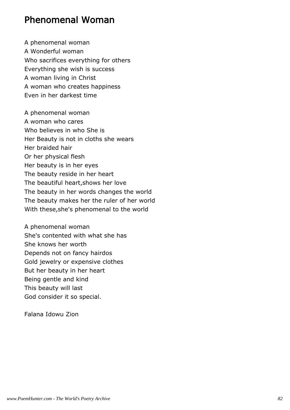#### Phenomenal Woman

A phenomenal woman A Wonderful woman Who sacrifices everything for others Everything she wish is success A woman living in Christ A woman who creates happiness Even in her darkest time

A phenomenal woman A woman who cares Who believes in who She is Her Beauty is not in cloths she wears Her braided hair Or her physical flesh Her beauty is in her eyes The beauty reside in her heart The beautiful heart,shows her love The beauty in her words changes the world The beauty makes her the ruler of her world With these,she's phenomenal to the world

A phenomenal woman She's contented with what she has She knows her worth Depends not on fancy hairdos Gold jewelry or expensive clothes But her beauty in her heart Being gentle and kind This beauty will last God consider it so special.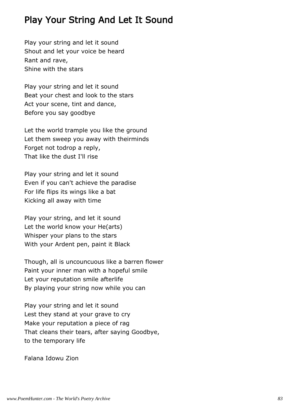## Play Your String And Let It Sound

Play your string and let it sound Shout and let your voice be heard Rant and rave, Shine with the stars

Play your string and let it sound Beat your chest and look to the stars Act your scene, tint and dance, Before you say goodbye

Let the world trample you like the ground Let them sweep you away with theirminds Forget not todrop a reply, That like the dust I'll rise

Play your string and let it sound Even if you can't achieve the paradise For life flips its wings like a bat Kicking all away with time

Play your string, and let it sound Let the world know your He(arts) Whisper your plans to the stars With your Ardent pen, paint it Black

Though, all is uncouncuous like a barren flower Paint your inner man with a hopeful smile Let your reputation smile afterlife By playing your string now while you can

Play your string and let it sound Lest they stand at your grave to cry Make your reputation a piece of rag That cleans their tears, after saying Goodbye, to the temporary life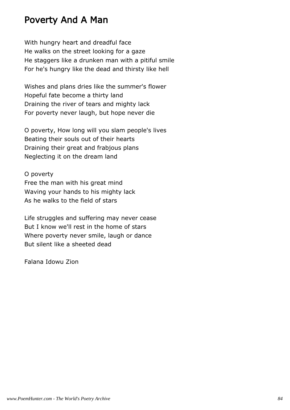### Poverty And A Man

With hungry heart and dreadful face He walks on the street looking for a gaze He staggers like a drunken man with a pitiful smile For he's hungry like the dead and thirsty like hell

Wishes and plans dries like the summer's flower Hopeful fate become a thirty land Draining the river of tears and mighty lack For poverty never laugh, but hope never die

O poverty, How long will you slam people's lives Beating their souls out of their hearts Draining their great and frabjous plans Neglecting it on the dream land

O poverty Free the man with his great mind Waving your hands to his mighty lack As he walks to the field of stars

Life struggles and suffering may never cease But I know we'll rest in the home of stars Where poverty never smile, laugh or dance But silent like a sheeted dead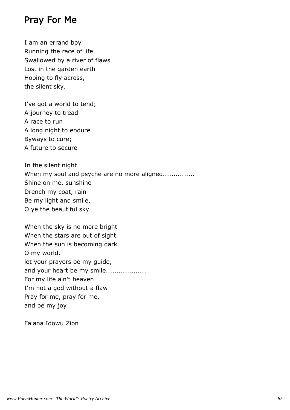### Pray For Me

I am an errand boy Running the race of life Swallowed by a river of flaws Lost in the garden earth Hoping to fly across, the silent sky.

I've got a world to tend; A journey to tread A race to run A long night to endure Byways to cure; A future to secure

In the silent night When my soul and psyche are no more aligned............... Shine on me, sunshine Drench my coat, rain Be my light and smile, O ye the beautiful sky

When the sky is no more bright When the stars are out of sight When the sun is becoming dark O my world, let your prayers be my guide, and your heart be my smile................... For my life ain't heaven I'm not a god without a flaw Pray for me, pray for me, and be my joy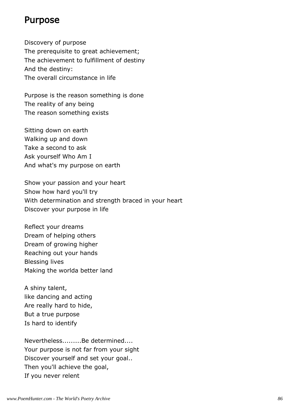### Purpose

Discovery of purpose The prerequisite to great achievement; The achievement to fulfillment of destiny And the destiny: The overall circumstance in life

Purpose is the reason something is done The reality of any being The reason something exists

Sitting down on earth Walking up and down Take a second to ask Ask yourself Who Am I And what's my purpose on earth

Show your passion and your heart Show how hard you'll try With determination and strength braced in your heart Discover your purpose in life

Reflect your dreams Dream of helping others Dream of growing higher Reaching out your hands Blessing lives Making the worlda better land

A shiny talent, like dancing and acting Are really hard to hide, But a true purpose Is hard to identify

Nevertheless.........Be determined.... Your purpose is not far from your sight Discover yourself and set your goal.. Then you'll achieve the goal, If you never relent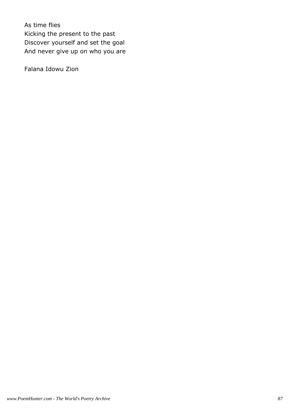As time flies Kicking the present to the past Discover yourself and set the goal And never give up on who you are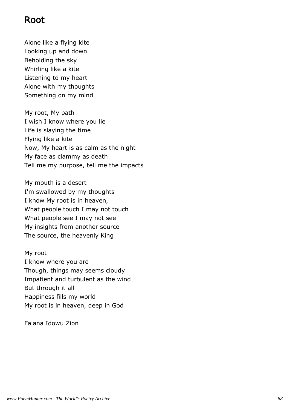### Root

Alone like a flying kite Looking up and down Beholding the sky Whirling like a kite Listening to my heart Alone with my thoughts Something on my mind

My root, My path I wish I know where you lie Life is slaying the time Flying like a kite Now, My heart is as calm as the night My face as clammy as death Tell me my purpose, tell me the impacts

My mouth is a desert I'm swallowed by my thoughts I know My root is in heaven, What people touch I may not touch What people see I may not see My insights from another source The source, the heavenly King

My root I know where you are Though, things may seems cloudy Impatient and turbulent as the wind But through it all Happiness fills my world My root is in heaven, deep in God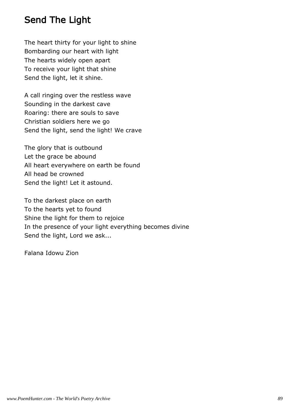## Send The Light

The heart thirty for your light to shine Bombarding our heart with light The hearts widely open apart To receive your light that shine Send the light, let it shine.

A call ringing over the restless wave Sounding in the darkest cave Roaring: there are souls to save Christian soldiers here we go Send the light, send the light! We crave

The glory that is outbound Let the grace be abound All heart everywhere on earth be found All head be crowned Send the light! Let it astound.

To the darkest place on earth To the hearts yet to found Shine the light for them to rejoice In the presence of your light everything becomes divine Send the light, Lord we ask...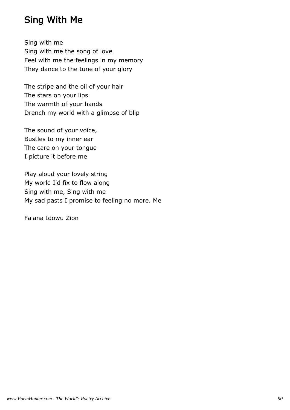## Sing With Me

Sing with me Sing with me the song of love Feel with me the feelings in my memory They dance to the tune of your glory

The stripe and the oil of your hair The stars on your lips The warmth of your hands Drench my world with a glimpse of blip

The sound of your voice, Bustles to my inner ear The care on your tongue I picture it before me

Play aloud your lovely string My world I'd fix to flow along Sing with me, Sing with me My sad pasts I promise to feeling no more. Me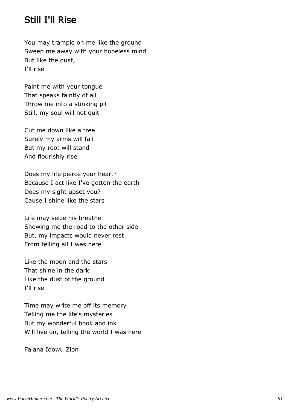### Still I'll Rise

You may trample on me like the ground Sweep me away with your hopeless mind But like the dust, I'll rise

Paint me with your tongue That speaks faintly of all Throw me into a stinking pit Still, my soul will not quit

Cut me down like a tree Surely my arms will fall But my root will stand And flourishly rise

Does my life pierce your heart? Because I act like I've gotten the earth Does my sight upset you? Cause I shine like the stars

Life may seize his breathe Showing me the road to the other side But, my impacts would never rest From telling all I was here

Like the moon and the stars That shine in the dark Like the dust of the ground I'll rise

Time may write me off its memory Telling me the life's mysteries But my wonderful book and ink Will live on, telling the world I was here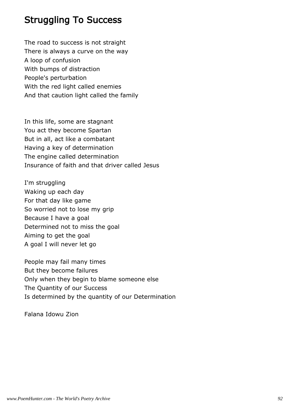## Struggling To Success

The road to success is not straight There is always a curve on the way A loop of confusion With bumps of distraction People's perturbation With the red light called enemies And that caution light called the family

In this life, some are stagnant You act they become Spartan But in all, act like a combatant Having a key of determination The engine called determination Insurance of faith and that driver called Jesus

I'm struggling Waking up each day For that day like game So worried not to lose my grip Because I have a goal Determined not to miss the goal Aiming to get the goal A goal I will never let go

People may fail many times But they become failures Only when they begin to blame someone else The Quantity of our Success Is determined by the quantity of our Determination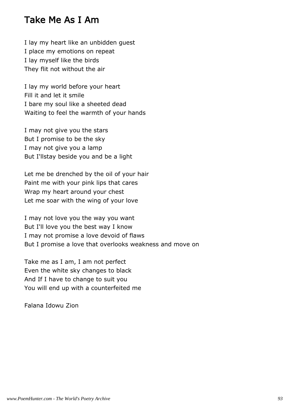#### Take Me As I Am

I lay my heart like an unbidden guest I place my emotions on repeat I lay myself like the birds They flit not without the air

I lay my world before your heart Fill it and let it smile I bare my soul like a sheeted dead Waiting to feel the warmth of your hands

I may not give you the stars But I promise to be the sky I may not give you a lamp But I'llstay beside you and be a light

Let me be drenched by the oil of your hair Paint me with your pink lips that cares Wrap my heart around your chest Let me soar with the wing of your love

I may not love you the way you want But I'll love you the best way I know I may not promise a love devoid of flaws But I promise a love that overlooks weakness and move on

Take me as I am, I am not perfect Even the white sky changes to black And If I have to change to suit you You will end up with a counterfeited me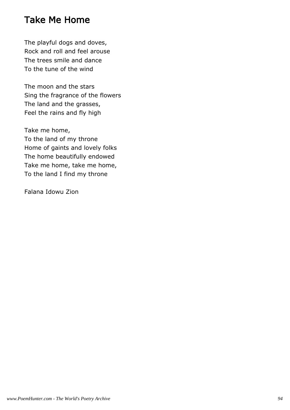## Take Me Home

The playful dogs and doves, Rock and roll and feel arouse The trees smile and dance To the tune of the wind

The moon and the stars Sing the fragrance of the flowers The land and the grasses, Feel the rains and fly high

Take me home, To the land of my throne Home of gaints and lovely folks The home beautifully endowed Take me home, take me home, To the land I find my throne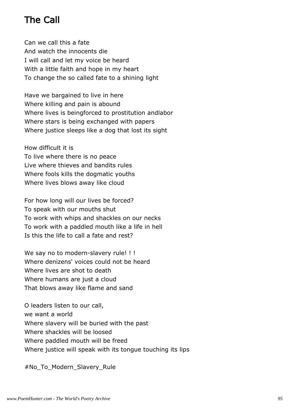# The Call

Can we call this a fate And watch the innocents die I will call and let my voice be heard With a little faith and hope in my heart To change the so called fate to a shining light

Have we bargained to live in here Where killing and pain is abound Where lives is beingforced to prostitution andlabor Where stars is being exchanged with papers Where justice sleeps like a dog that lost its sight

How difficult it is

To live where there is no peace Live where thieves and bandits rules Where fools kills the dogmatic youths Where lives blows away like cloud

For how long will our lives be forced? To speak with our mouths shut To work with whips and shackles on our necks To work with a paddled mouth like a life in hell Is this the life to call a fate and rest?

We say no to modern-slavery rule! !! Where denizens' voices could not be heard Where lives are shot to death Where humans are just a cloud That blows away like flame and sand

O leaders listen to our call, we want a world Where slavery will be buried with the past Where shackles will be loosed Where paddled mouth will be freed Where justice will speak with its tongue touching its lips

#No To Modern Slavery Rule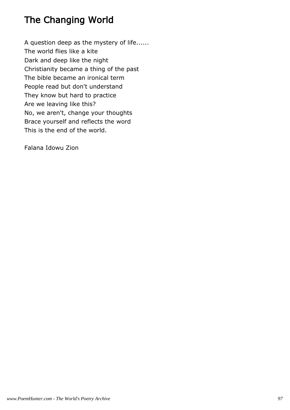# The Changing World

A question deep as the mystery of life...... The world flies like a kite Dark and deep like the night Christianity became a thing of the past The bible became an ironical term People read but don't understand They know but hard to practice Are we leaving like this? No, we aren't, change your thoughts Brace yourself and reflects the word This is the end of the world.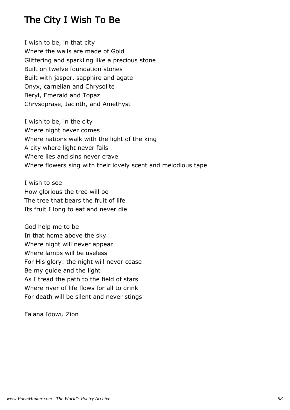## The City I Wish To Be

I wish to be, in that city Where the walls are made of Gold Glittering and sparkling like a precious stone Built on twelve foundation stones Built with jasper, sapphire and agate Onyx, carnelian and Chrysolite Beryl, Emerald and Topaz Chrysoprase, Jacinth, and Amethyst

I wish to be, in the city Where night never comes Where nations walk with the light of the king A city where light never fails Where lies and sins never crave Where flowers sing with their lovely scent and melodious tape

I wish to see How glorious the tree will be The tree that bears the fruit of life Its fruit I long to eat and never die

God help me to be In that home above the sky Where night will never appear Where lamps will be useless For His glory: the night will never cease Be my guide and the light As I tread the path to the field of stars Where river of life flows for all to drink For death will be silent and never stings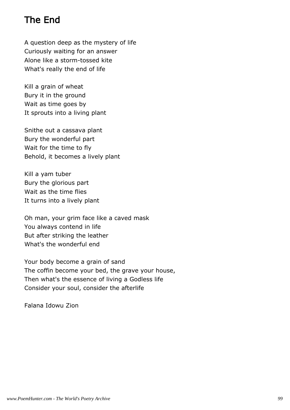# The End

A question deep as the mystery of life Curiously waiting for an answer Alone like a storm-tossed kite What's really the end of life

Kill a grain of wheat Bury it in the ground Wait as time goes by It sprouts into a living plant

Snithe out a cassava plant Bury the wonderful part Wait for the time to fly Behold, it becomes a lively plant

Kill a yam tuber Bury the glorious part Wait as the time flies It turns into a lively plant

Oh man, your grim face like a caved mask You always contend in life But after striking the leather What's the wonderful end

Your body become a grain of sand The coffin become your bed, the grave your house, Then what's the essence of living a Godless life Consider your soul, consider the afterlife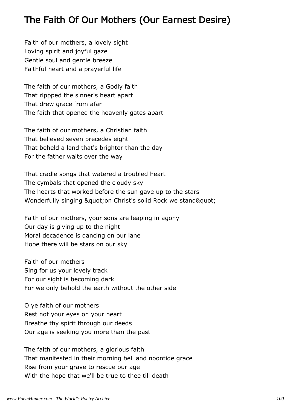## The Faith Of Our Mothers (Our Earnest Desire)

Faith of our mothers, a lovely sight Loving spirit and joyful gaze Gentle soul and gentle breeze Faithful heart and a prayerful life

The faith of our mothers, a Godly faith That rippped the sinner's heart apart That drew grace from afar The faith that opened the heavenly gates apart

The faith of our mothers, a Christian faith That believed seven precedes eight That beheld a land that's brighter than the day For the father waits over the way

That cradle songs that watered a troubled heart The cymbals that opened the cloudy sky The hearts that worked before the sun gave up to the stars Wonderfully singing " on Christ's solid Rock we stand"

Faith of our mothers, your sons are leaping in agony Our day is giving up to the night Moral decadence is dancing on our lane Hope there will be stars on our sky

Faith of our mothers Sing for us your lovely track For our sight is becoming dark For we only behold the earth without the other side

O ye faith of our mothers Rest not your eyes on your heart Breathe thy spirit through our deeds Our age is seeking you more than the past

The faith of our mothers, a glorious faith That manifested in their morning bell and noontide grace Rise from your grave to rescue our age With the hope that we'll be true to thee till death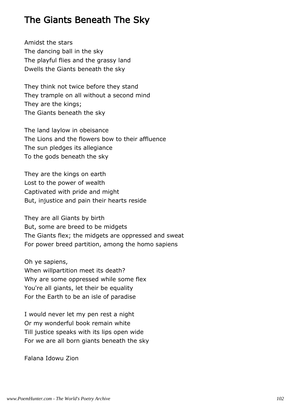## The Giants Beneath The Sky

Amidst the stars The dancing ball in the sky The playful flies and the grassy land Dwells the Giants beneath the sky

They think not twice before they stand They trample on all without a second mind They are the kings; The Giants beneath the sky

The land laylow in obeisance The Lions and the flowers bow to their affluence The sun pledges its allegiance To the gods beneath the sky

They are the kings on earth Lost to the power of wealth Captivated with pride and might But, injustice and pain their hearts reside

They are all Giants by birth But, some are breed to be midgets The Giants flex; the midgets are oppressed and sweat For power breed partition, among the homo sapiens

Oh ye sapiens, When willpartition meet its death?

Why are some oppressed while some flex You're all giants, let their be equality For the Earth to be an isle of paradise

I would never let my pen rest a night Or my wonderful book remain white Till justice speaks with its lips open wide For we are all born giants beneath the sky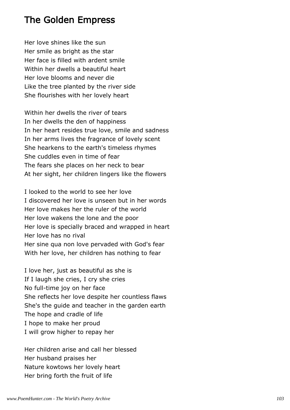### The Golden Empress

Her love shines like the sun Her smile as bright as the star Her face is filled with ardent smile Within her dwells a beautiful heart Her love blooms and never die Like the tree planted by the river side She flourishes with her lovely heart

Within her dwells the river of tears In her dwells the den of happiness In her heart resides true love, smile and sadness In her arms lives the fragrance of lovely scent She hearkens to the earth's timeless rhymes She cuddles even in time of fear The fears she places on her neck to bear At her sight, her children lingers like the flowers

I looked to the world to see her love I discovered her love is unseen but in her words Her love makes her the ruler of the world Her love wakens the lone and the poor Her love is specially braced and wrapped in heart Her love has no rival Her sine qua non love pervaded with God's fear With her love, her children has nothing to fear

I love her, just as beautiful as she is If I laugh she cries, I cry she cries No full-time joy on her face She reflects her love despite her countless flaws She's the guide and teacher in the garden earth The hope and cradle of life I hope to make her proud I will grow higher to repay her

Her children arise and call her blessed Her husband praises her Nature kowtows her lovely heart Her bring forth the fruit of life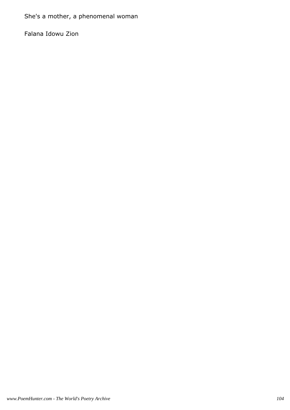She's a mother, a phenomenal woman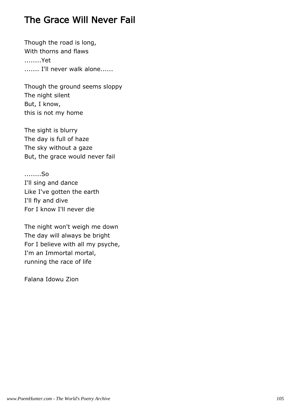## The Grace Will Never Fail

Though the road is long, With thorns and flaws ........Yet ....... I'll never walk alone......

Though the ground seems sloppy The night silent But, I know, this is not my home

The sight is blurry The day is full of haze The sky without a gaze But, the grace would never fail

........So I'll sing and dance Like I've gotten the earth I'll fly and dive For I know I'll never die

The night won't weigh me down The day will always be bright For I believe with all my psyche, I'm an Immortal mortal, running the race of life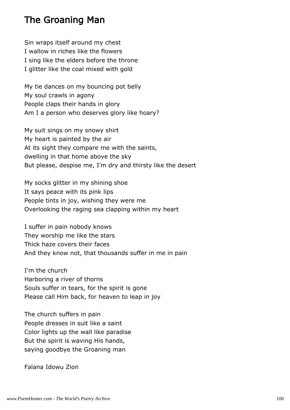### The Groaning Man

Sin wraps itself around my chest I wallow in riches like the flowers I sing like the elders before the throne I glitter like the coal mixed with gold

My tie dances on my bouncing pot belly My soul crawls in agony People claps their hands in glory Am I a person who deserves glory like hoary?

My suit sings on my snowy shirt My heart is painted by the air At its sight they compare me with the saints, dwelling in that home above the sky But please, despise me, I'm dry and thirsty like the desert

My socks glitter in my shining shoe It says peace with its pink lips People tints in joy, wishing they were me Overlooking the raging sea clapping within my heart

I suffer in pain nobody knows They worship me like the stars Thick haze covers their faces And they know not, that thousands suffer in me in pain

I'm the church Harboring a river of thorns Souls suffer in tears, for the spirit is gone Please call Him back, for heaven to leap in joy

The church suffers in pain People dresses in suit like a saint Color lights up the wall like paradise But the spirit is waving His hands, saying goodbye the Groaning man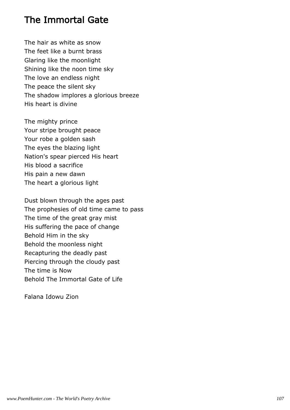## The Immortal Gate

The hair as white as snow The feet like a burnt brass Glaring like the moonlight Shining like the noon time sky The love an endless night The peace the silent sky The shadow implores a glorious breeze His heart is divine

The mighty prince Your stripe brought peace Your robe a golden sash The eyes the blazing light Nation's spear pierced His heart His blood a sacrifice His pain a new dawn The heart a glorious light

Dust blown through the ages past The prophesies of old time came to pass The time of the great gray mist His suffering the pace of change Behold Him in the sky Behold the moonless night Recapturing the deadly past Piercing through the cloudy past The time is Now Behold The Immortal Gate of Life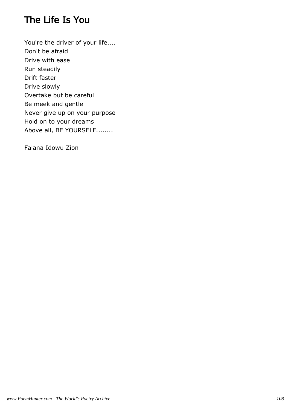# The Life Is You

You're the driver of your life.... Don't be afraid Drive with ease Run steadily Drift faster Drive slowly Overtake but be careful Be meek and gentle Never give up on your purpose Hold on to your dreams Above all, BE YOURSELF........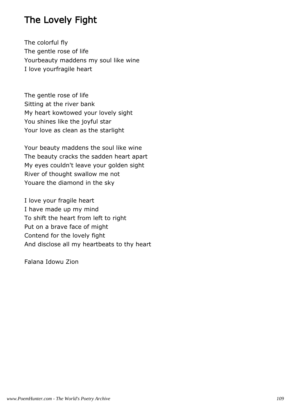# The Lovely Fight

The colorful fly The gentle rose of life Yourbeauty maddens my soul like wine I love yourfragile heart

The gentle rose of life Sitting at the river bank My heart kowtowed your lovely sight You shines like the joyful star Your love as clean as the starlight

Your beauty maddens the soul like wine The beauty cracks the sadden heart apart My eyes couldn't leave your golden sight River of thought swallow me not Youare the diamond in the sky

I love your fragile heart I have made up my mind To shift the heart from left to right Put on a brave face of might Contend for the lovely fight And disclose all my heartbeats to thy heart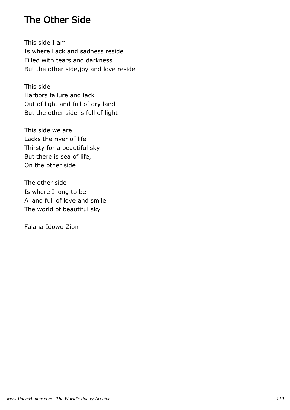### The Other Side

This side I am Is where Lack and sadness reside Filled with tears and darkness But the other side,joy and love reside

This side Harbors failure and lack Out of light and full of dry land But the other side is full of light

This side we are Lacks the river of life Thirsty for a beautiful sky But there is sea of life, On the other side

The other side Is where I long to be A land full of love and smile The world of beautiful sky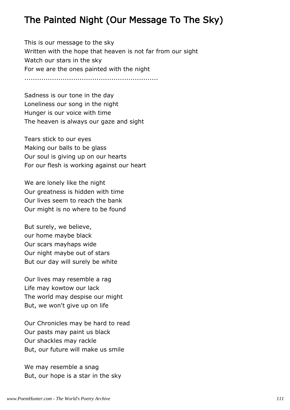# The Painted Night (Our Message To The Sky)

This is our message to the sky Written with the hope that heaven is not far from our sight Watch our stars in the sky For we are the ones painted with the night ...............................................................

Sadness is our tone in the day Loneliness our song in the night Hunger is our voice with time The heaven is always our gaze and sight

Tears stick to our eyes Making our balls to be glass Our soul is giving up on our hearts For our flesh is working against our heart

We are lonely like the night Our greatness is hidden with time Our lives seem to reach the bank Our might is no where to be found

But surely, we believe, our home maybe black Our scars mayhaps wide Our night maybe out of stars But our day will surely be white

Our lives may resemble a rag Life may kowtow our lack The world may despise our might But, we won't give up on life

Our Chronicles may be hard to read Our pasts may paint us black Our shackles may rackle But, our future will make us smile

We may resemble a snag But, our hope is a star in the sky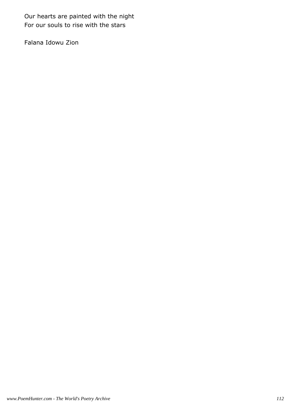Our hearts are painted with the night For our souls to rise with the stars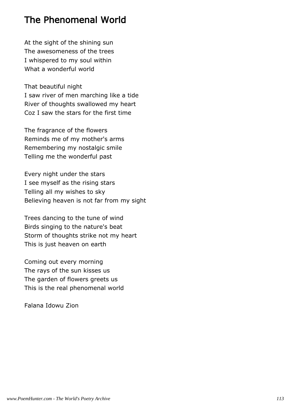### The Phenomenal World

At the sight of the shining sun The awesomeness of the trees I whispered to my soul within What a wonderful world

That beautiful night I saw river of men marching like a tide River of thoughts swallowed my heart Coz I saw the stars for the first time

The fragrance of the flowers Reminds me of my mother's arms Remembering my nostalgic smile Telling me the wonderful past

Every night under the stars I see myself as the rising stars Telling all my wishes to sky Believing heaven is not far from my sight

Trees dancing to the tune of wind Birds singing to the nature's beat Storm of thoughts strike not my heart This is just heaven on earth

Coming out every morning The rays of the sun kisses us The garden of flowers greets us This is the real phenomenal world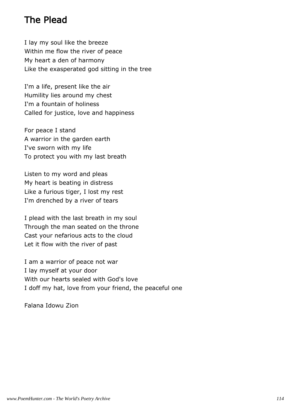## The Plead

I lay my soul like the breeze Within me flow the river of peace My heart a den of harmony Like the exasperated god sitting in the tree

I'm a life, present like the air Humility lies around my chest I'm a fountain of holiness Called for justice, love and happiness

For peace I stand A warrior in the garden earth I've sworn with my life To protect you with my last breath

Listen to my word and pleas My heart is beating in distress Like a furious tiger, I lost my rest I'm drenched by a river of tears

I plead with the last breath in my soul Through the man seated on the throne Cast your nefarious acts to the cloud Let it flow with the river of past

I am a warrior of peace not war I lay myself at your door With our hearts sealed with God's love I doff my hat, love from your friend, the peaceful one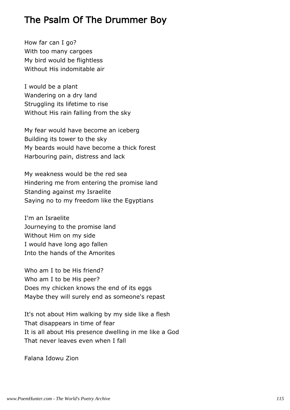## The Psalm Of The Drummer Boy

How far can I go? With too many cargoes My bird would be flightless Without His indomitable air

I would be a plant Wandering on a dry land Struggling its lifetime to rise Without His rain falling from the sky

My fear would have become an iceberg Building its tower to the sky My beards would have become a thick forest Harbouring pain, distress and lack

My weakness would be the red sea Hindering me from entering the promise land Standing against my Israelite Saying no to my freedom like the Egyptians

I'm an Israelite Journeying to the promise land Without Him on my side I would have long ago fallen Into the hands of the Amorites

Who am I to be His friend? Who am I to be His peer? Does my chicken knows the end of its eggs Maybe they will surely end as someone's repast

It's not about Him walking by my side like a flesh That disappears in time of fear It is all about His presence dwelling in me like a God That never leaves even when I fall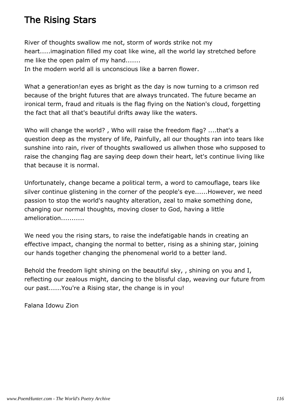# The Rising Stars

River of thoughts swallow me not, storm of words strike not my heart.....imagination filled my coat like wine, all the world lay stretched before me like the open palm of my hand.......

In the modern world all is unconscious like a barren flower.

What a generation! an eyes as bright as the day is now turning to a crimson red because of the bright futures that are always truncated. The future became an ironical term, fraud and rituals is the flag flying on the Nation's cloud, forgetting the fact that all that's beautiful drifts away like the waters.

Who will change the world? , Who will raise the freedom flag? ....that's a question deep as the mystery of life, Painfully, all our thoughts ran into tears like sunshine into rain, river of thoughts swallowed us allwhen those who supposed to raise the changing flag are saying deep down their heart, let's continue living like that because it is normal.

Unfortunately, change became a political term, a word to camouflage, tears like silver continue glistening in the corner of the people's eye......However, we need passion to stop the world's naughty alteration, zeal to make something done, changing our normal thoughts, moving closer to God, having a little amelioration...........

We need you the rising stars, to raise the indefatigable hands in creating an effective impact, changing the normal to better, rising as a shining star, joining our hands together changing the phenomenal world to a better land.

Behold the freedom light shining on the beautiful sky, , shining on you and I, reflecting our zealous might, dancing to the blissful clap, weaving our future from our past......You're a Rising star, the change is in you!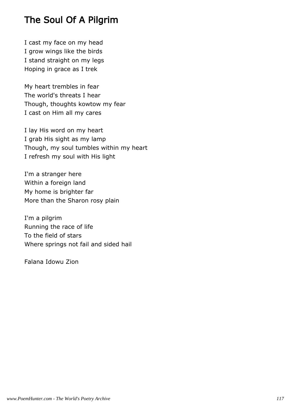# The Soul Of A Pilgrim

I cast my face on my head I grow wings like the birds I stand straight on my legs Hoping in grace as I trek

My heart trembles in fear The world's threats I hear Though, thoughts kowtow my fear I cast on Him all my cares

I lay His word on my heart I grab His sight as my lamp Though, my soul tumbles within my heart I refresh my soul with His light

I'm a stranger here Within a foreign land My home is brighter far More than the Sharon rosy plain

I'm a pilgrim Running the race of life To the field of stars Where springs not fail and sided hail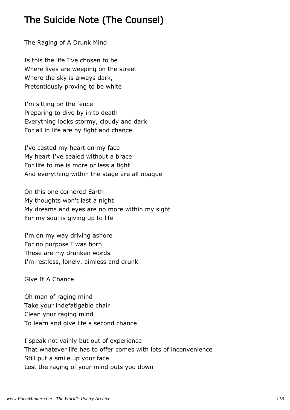# The Suicide Note (The Counsel)

The Raging of A Drunk Mind

Is this the life I've chosen to be Where lives are weeping on the street Where the sky is always dark, Pretentiously proving to be white

I'm sitting on the fence Preparing to dive by in to death Everything looks stormy, cloudy and dark For all in life are by fight and chance

I've casted my heart on my face My heart I've sealed without a brace For life to me is more or less a fight And everything within the stage are all opaque

On this one cornered Earth My thoughts won't last a night My dreams and eyes are no more within my sight For my soul is giving up to life

I'm on my way driving ashore For no purpose I was born These are my drunken words I'm restless, lonely, aimless and drunk

Give It A Chance

Oh man of raging mind Take your indefatigable chair Clean your raging mind To learn and give life a second chance

I speak not vainly but out of experience That whatever life has to offer comes with lots of inconvenience Still put a smile up your face Lest the raging of your mind puts you down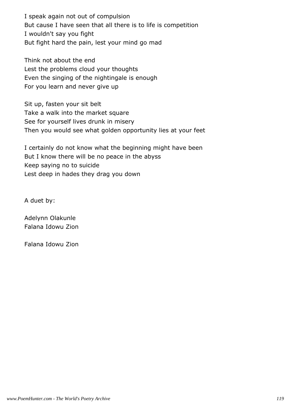I speak again not out of compulsion But cause I have seen that all there is to life is competition I wouldn't say you fight But fight hard the pain, lest your mind go mad

Think not about the end Lest the problems cloud your thoughts Even the singing of the nightingale is enough For you learn and never give up

Sit up, fasten your sit belt Take a walk into the market square See for yourself lives drunk in misery Then you would see what golden opportunity lies at your feet

I certainly do not know what the beginning might have been But I know there will be no peace in the abyss Keep saying no to suicide Lest deep in hades they drag you down

A duet by:

Adelynn Olakunle Falana Idowu Zion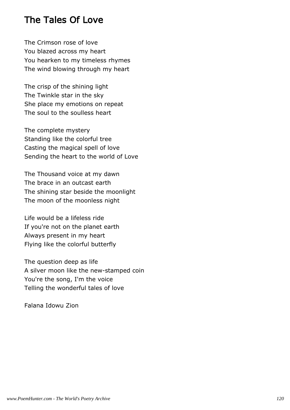### The Tales Of Love

The Crimson rose of love You blazed across my heart You hearken to my timeless rhymes The wind blowing through my heart

The crisp of the shining light The Twinkle star in the sky She place my emotions on repeat The soul to the soulless heart

The complete mystery Standing like the colorful tree Casting the magical spell of love Sending the heart to the world of Love

The Thousand voice at my dawn The brace in an outcast earth The shining star beside the moonlight The moon of the moonless night

Life would be a lifeless ride If you're not on the planet earth Always present in my heart Flying like the colorful butterfly

The question deep as life A silver moon like the new-stamped coin You're the song, I'm the voice Telling the wonderful tales of love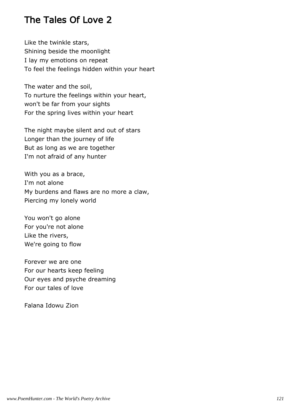## The Tales Of Love 2

Like the twinkle stars, Shining beside the moonlight I lay my emotions on repeat To feel the feelings hidden within your heart

The water and the soil, To nurture the feelings within your heart, won't be far from your sights For the spring lives within your heart

The night maybe silent and out of stars Longer than the journey of life But as long as we are together I'm not afraid of any hunter

With you as a brace, I'm not alone My burdens and flaws are no more a claw, Piercing my lonely world

You won't go alone For you're not alone Like the rivers, We're going to flow

Forever we are one For our hearts keep feeling Our eyes and psyche dreaming For our tales of love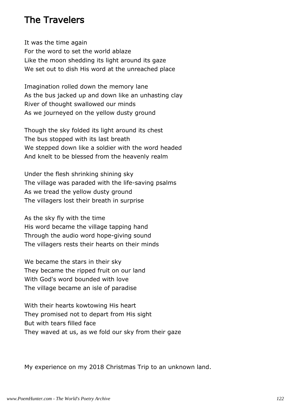### The Travelers

It was the time again For the word to set the world ablaze Like the moon shedding its light around its gaze We set out to dish His word at the unreached place

Imagination rolled down the memory lane As the bus jacked up and down like an unhasting clay River of thought swallowed our minds As we journeyed on the yellow dusty ground

Though the sky folded its light around its chest The bus stopped with its last breath We stepped down like a soldier with the word headed And knelt to be blessed from the heavenly realm

Under the flesh shrinking shining sky The village was paraded with the life-saving psalms As we tread the yellow dusty ground The villagers lost their breath in surprise

As the sky fly with the time His word became the village tapping hand Through the audio word hope-giving sound The villagers rests their hearts on their minds

We became the stars in their sky They became the ripped fruit on our land With God's word bounded with love The village became an isle of paradise

With their hearts kowtowing His heart They promised not to depart from His sight But with tears filled face They waved at us, as we fold our sky from their gaze

My experience on my 2018 Christmas Trip to an unknown land.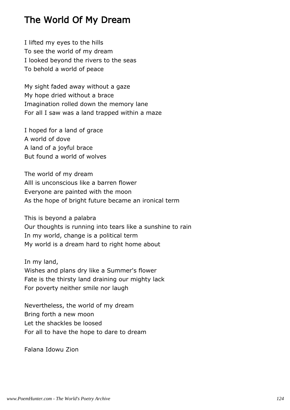## The World Of My Dream

I lifted my eyes to the hills To see the world of my dream I looked beyond the rivers to the seas To behold a world of peace

My sight faded away without a gaze My hope dried without a brace Imagination rolled down the memory lane For all I saw was a land trapped within a maze

I hoped for a land of grace A world of dove A land of a joyful brace But found a world of wolves

The world of my dream Alll is unconscious like a barren flower Everyone are painted with the moon As the hope of bright future became an ironical term

This is beyond a palabra Our thoughts is running into tears like a sunshine to rain In my world, change is a political term My world is a dream hard to right home about

In my land, Wishes and plans dry like a Summer's flower Fate is the thirsty land draining our mighty lack For poverty neither smile nor laugh

Nevertheless, the world of my dream Bring forth a new moon Let the shackles be loosed For all to have the hope to dare to dream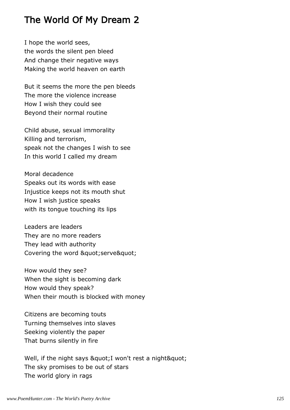# The World Of My Dream 2

I hope the world sees, the words the silent pen bleed And change their negative ways Making the world heaven on earth

But it seems the more the pen bleeds The more the violence increase How I wish they could see Beyond their normal routine

Child abuse, sexual immorality Killing and terrorism, speak not the changes I wish to see In this world I called my dream

Moral decadence Speaks out its words with ease Injustice keeps not its mouth shut How I wish justice speaks with its tongue touching its lips

Leaders are leaders They are no more readers They lead with authority Covering the word " serve"

How would they see? When the sight is becoming dark How would they speak? When their mouth is blocked with money

Citizens are becoming touts Turning themselves into slaves Seeking violently the paper That burns silently in fire

Well, if the night says & quot; I won't rest a night & quot; The sky promises to be out of stars The world glory in rags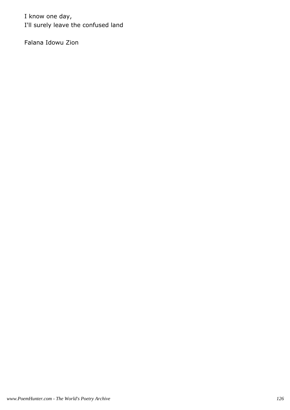I know one day, I'll surely leave the confused land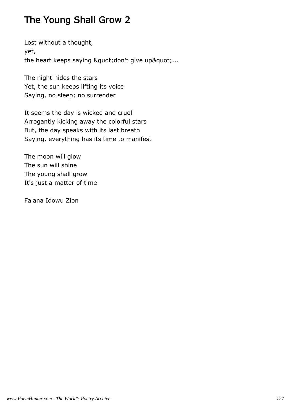# The Young Shall Grow 2

Lost without a thought, yet, the heart keeps saying " don't give up"...

The night hides the stars Yet, the sun keeps lifting its voice Saying, no sleep; no surrender

It seems the day is wicked and cruel Arrogantly kicking away the colorful stars But, the day speaks with its last breath Saying, everything has its time to manifest

The moon will glow The sun will shine The young shall grow It's just a matter of time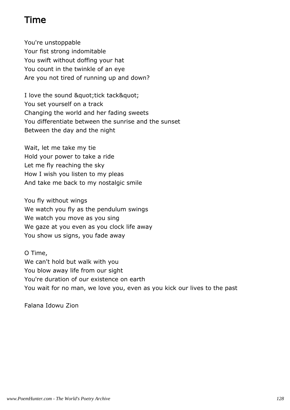## Time

You're unstoppable Your fist strong indomitable You swift without doffing your hat You count in the twinkle of an eye Are you not tired of running up and down?

I love the sound " tick tack" You set yourself on a track Changing the world and her fading sweets You differentiate between the sunrise and the sunset Between the day and the night

Wait, let me take my tie Hold your power to take a ride Let me fly reaching the sky How I wish you listen to my pleas And take me back to my nostalgic smile

You fly without wings We watch you fly as the pendulum swings We watch you move as you sing We gaze at you even as you clock life away You show us signs, you fade away

O Time, We can't hold but walk with you You blow away life from our sight You're duration of our existence on earth You wait for no man, we love you, even as you kick our lives to the past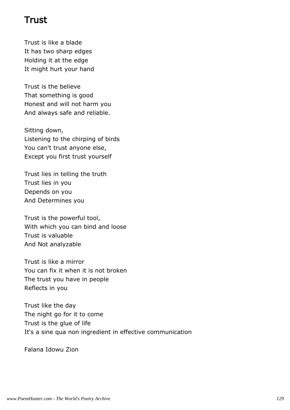### Trust

Trust is like a blade It has two sharp edges Holding it at the edge It might hurt your hand

Trust is the believe That something is good Honest and will not harm you And always safe and reliable.

Sitting down, Listening to the chirping of birds You can't trust anyone else, Except you first trust yourself

Trust lies in telling the truth Trust lies in you Depends on you And Determines you

Trust is the powerful tool, With which you can bind and loose Trust is valuable And Not analyzable

Trust is like a mirror You can fix it when it is not broken The trust you have in people Reflects in you

Trust like the day The night go for it to come Trust is the glue of life It's a sine qua non ingredient in effective communication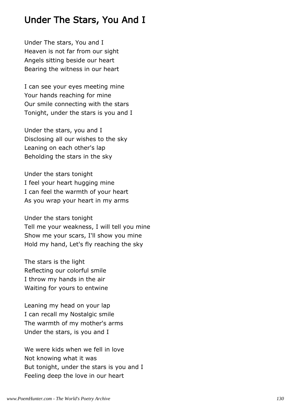### Under The Stars, You And I

Under The stars, You and I Heaven is not far from our sight Angels sitting beside our heart Bearing the witness in our heart

I can see your eyes meeting mine Your hands reaching for mine Our smile connecting with the stars Tonight, under the stars is you and I

Under the stars, you and I Disclosing all our wishes to the sky Leaning on each other's lap Beholding the stars in the sky

Under the stars tonight I feel your heart hugging mine I can feel the warmth of your heart As you wrap your heart in my arms

Under the stars tonight Tell me your weakness, I will tell you mine Show me your scars, I'll show you mine Hold my hand, Let's fly reaching the sky

The stars is the light Reflecting our colorful smile I throw my hands in the air Waiting for yours to entwine

Leaning my head on your lap I can recall my Nostalgic smile The warmth of my mother's arms Under the stars, is you and I

We were kids when we fell in love Not knowing what it was But tonight, under the stars is you and I Feeling deep the love in our heart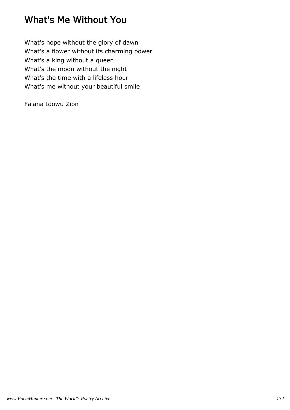# What's Me Without You

What's hope without the glory of dawn What's a flower without its charming power What's a king without a queen What's the moon without the night What's the time with a lifeless hour What's me without your beautiful smile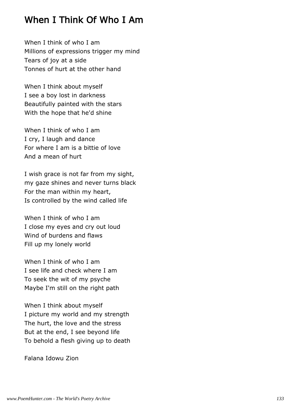## When I Think Of Who I Am

When I think of who I am Millions of expressions trigger my mind Tears of joy at a side Tonnes of hurt at the other hand

When I think about myself I see a boy lost in darkness Beautifully painted with the stars With the hope that he'd shine

When I think of who I am I cry, I laugh and dance For where I am is a bittie of love And a mean of hurt

I wish grace is not far from my sight, my gaze shines and never turns black For the man within my heart, Is controlled by the wind called life

When I think of who I am I close my eyes and cry out loud Wind of burdens and flaws Fill up my lonely world

When I think of who I am I see life and check where I am To seek the wit of my psyche Maybe I'm still on the right path

When I think about myself I picture my world and my strength The hurt, the love and the stress But at the end, I see beyond life To behold a flesh giving up to death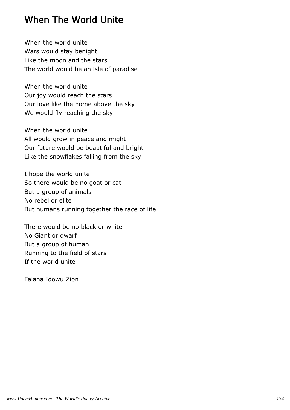### When The World Unite

When the world unite Wars would stay benight Like the moon and the stars The world would be an isle of paradise

When the world unite Our joy would reach the stars Our love like the home above the sky We would fly reaching the sky

When the world unite All would grow in peace and might Our future would be beautiful and bright Like the snowflakes falling from the sky

I hope the world unite So there would be no goat or cat But a group of animals No rebel or elite But humans running together the race of life

There would be no black or white No Giant or dwarf But a group of human Running to the field of stars If the world unite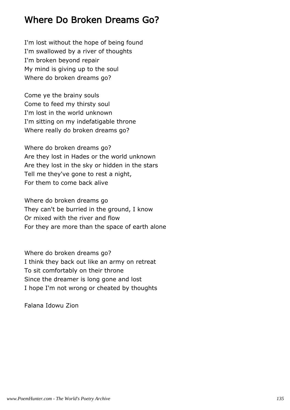### Where Do Broken Dreams Go?

I'm lost without the hope of being found I'm swallowed by a river of thoughts I'm broken beyond repair My mind is giving up to the soul Where do broken dreams go?

Come ye the brainy souls Come to feed my thirsty soul I'm lost in the world unknown I'm sitting on my indefatigable throne Where really do broken dreams go?

Where do broken dreams go? Are they lost in Hades or the world unknown Are they lost in the sky or hidden in the stars Tell me they've gone to rest a night, For them to come back alive

Where do broken dreams go They can't be burried in the ground, I know Or mixed with the river and flow For they are more than the space of earth alone

Where do broken dreams go? I think they back out like an army on retreat To sit comfortably on their throne Since the dreamer is long gone and lost I hope I'm not wrong or cheated by thoughts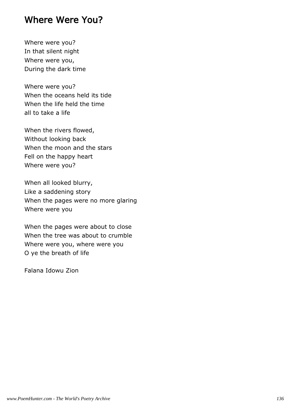#### Where Were You?

Where were you? In that silent night Where were you, During the dark time

Where were you? When the oceans held its tide When the life held the time all to take a life

When the rivers flowed, Without looking back When the moon and the stars Fell on the happy heart Where were you?

When all looked blurry, Like a saddening story When the pages were no more glaring Where were you

When the pages were about to close When the tree was about to crumble Where were you, where were you O ye the breath of life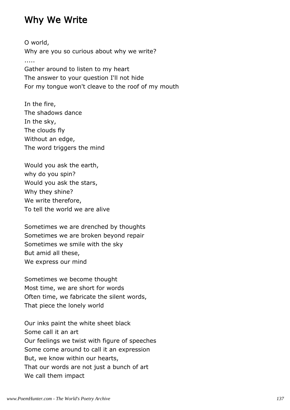### Why We Write

O world, Why are you so curious about why we write? ..... Gather around to listen to my heart The answer to your question I'll not hide For my tongue won't cleave to the roof of my mouth

In the fire, The shadows dance In the sky, The clouds fly Without an edge, The word triggers the mind

Would you ask the earth, why do you spin? Would you ask the stars, Why they shine? We write therefore, To tell the world we are alive

Sometimes we are drenched by thoughts Sometimes we are broken beyond repair Sometimes we smile with the sky But amid all these, We express our mind

Sometimes we become thought Most time, we are short for words Often time, we fabricate the silent words, That piece the lonely world

Our inks paint the white sheet black Some call it an art Our feelings we twist with figure of speeches Some come around to call it an expression But, we know within our hearts, That our words are not just a bunch of art We call them impact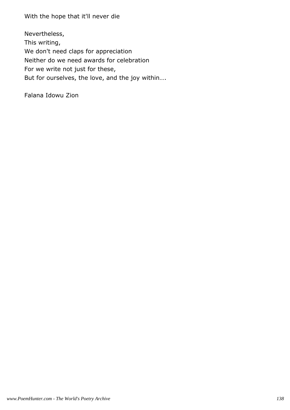With the hope that it'll never die

Nevertheless, This writing, We don't need claps for appreciation Neither do we need awards for celebration For we write not just for these, But for ourselves, the love, and the joy within….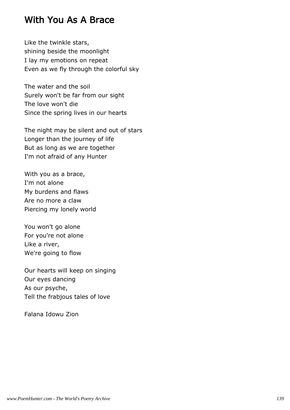### With You As A Brace

Like the twinkle stars, shining beside the moonlight I lay my emotions on repeat Even as we fly through the colorful sky

The water and the soil Surely won't be far from our sight The love won't die Since the spring lives in our hearts

The night may be silent and out of stars Longer than the journey of life But as long as we are together I'm not afraid of any Hunter

With you as a brace, I'm not alone My burdens and flaws Are no more a claw Piercing my lonely world

You won't go alone For you're not alone Like a river, We're going to flow

Our hearts will keep on singing Our eyes dancing As our psyche, Tell the frabjous tales of love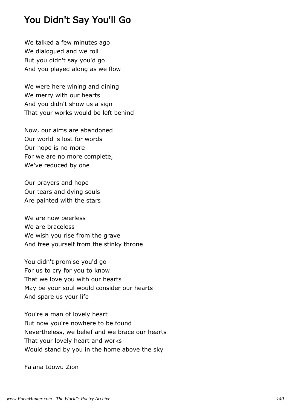## You Didn't Say You'll Go

We talked a few minutes ago We dialogued and we roll But you didn't say you'd go And you played along as we flow

We were here wining and dining We merry with our hearts And you didn't show us a sign That your works would be left behind

Now, our aims are abandoned Our world is lost for words Our hope is no more For we are no more complete, We've reduced by one

Our prayers and hope Our tears and dying souls Are painted with the stars

We are now peerless We are braceless We wish you rise from the grave And free yourself from the stinky throne

You didn't promise you'd go For us to cry for you to know That we love you with our hearts May be your soul would consider our hearts And spare us your life

You're a man of lovely heart But now you're nowhere to be found Nevertheless, we belief and we brace our hearts That your lovely heart and works Would stand by you in the home above the sky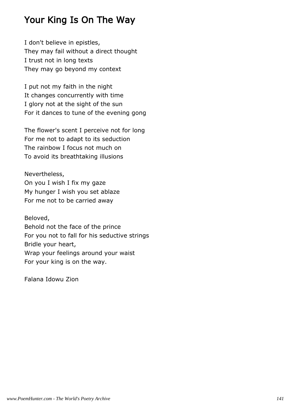## Your King Is On The Way

I don't believe in epistles, They may fail without a direct thought I trust not in long texts They may go beyond my context

I put not my faith in the night It changes concurrently with time I glory not at the sight of the sun For it dances to tune of the evening gong

The flower's scent I perceive not for long For me not to adapt to its seduction The rainbow I focus not much on To avoid its breathtaking illusions

Nevertheless, On you I wish I fix my gaze My hunger I wish you set ablaze For me not to be carried away

Beloved, Behold not the face of the prince For you not to fall for his seductive strings Bridle your heart, Wrap your feelings around your waist For your king is on the way.